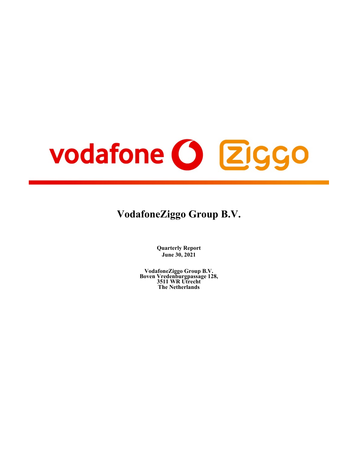# vodafone O Ziggo

# **VodafoneZiggo Group B.V.**

**Quarterly Report June 30, 2021**

**VodafoneZiggo Group B.V. Boven Vredenburgpassage 128, 3511 WR Utrecht The Netherlands**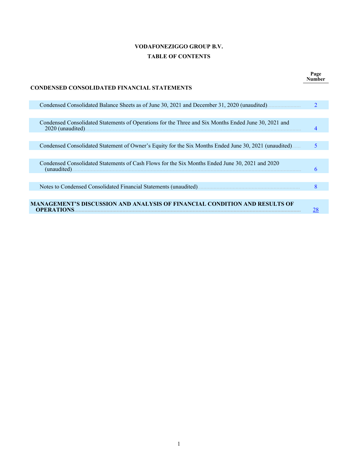# **VODAFONEZIGGO GROUP B.V. TABLE OF CONTENTS**

**Page Number**

# **CONDENSED CONSOLIDATED FINANCIAL STATEMENTS**

| Condensed Consolidated Balance Sheets as of June 30, 2021 and December 31, 2020 (unaudited).                              |   |  |
|---------------------------------------------------------------------------------------------------------------------------|---|--|
|                                                                                                                           |   |  |
| Condensed Consolidated Statements of Operations for the Three and Six Months Ended June 30, 2021 and<br>2020 (unaudited). |   |  |
|                                                                                                                           |   |  |
| Condensed Consolidated Statement of Owner's Equity for the Six Months Ended June 30, 2021 (unaudited)                     |   |  |
|                                                                                                                           |   |  |
| Condensed Consolidated Statements of Cash Flows for the Six Months Ended June 30, 2021 and 2020<br>(unaudited)            |   |  |
|                                                                                                                           |   |  |
| Notes to Condensed Consolidated Financial Statements (unaudited)                                                          | 8 |  |
|                                                                                                                           |   |  |
| MANAGEMENT'S DISCUSSION AND ANALYSIS OF FINANCIAL CONDITION AND RESULTS OF<br><b>OPERATIONS</b>                           |   |  |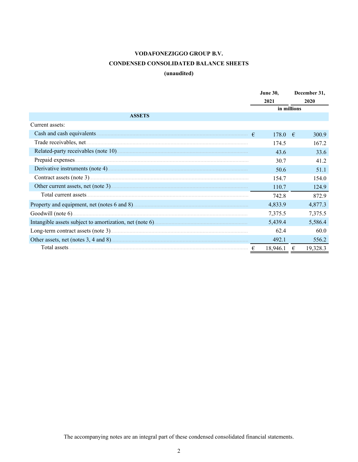# **CONDENSED CONSOLIDATED BALANCE SHEETS**

# **(unaudited)**

<span id="page-2-0"></span>

|                 | <b>June 30,</b> |   | December 31, |  |  |
|-----------------|-----------------|---|--------------|--|--|
|                 | 2021            |   | 2020         |  |  |
|                 | in millions     |   |              |  |  |
| <b>ASSETS</b>   |                 |   |              |  |  |
| Current assets: |                 |   |              |  |  |
|                 | 178.0 $\in$     |   | 300.9        |  |  |
|                 | 174.5           |   | 167.2        |  |  |
|                 | 43.6            |   | 33.6         |  |  |
|                 | 30.7            |   | 41.2         |  |  |
|                 | 50.6            |   | 51.1         |  |  |
|                 | 154.7           |   | 154.0        |  |  |
|                 | 110.7           |   | 124.9        |  |  |
|                 | 742.8           |   | 872.9        |  |  |
|                 | 4,833.9         |   | 4,877.3      |  |  |
|                 | 7,375.5         |   | 7,375.5      |  |  |
|                 | 5,439.4         |   | 5,586.4      |  |  |
|                 | 62.4            |   | 60.0         |  |  |
|                 | 492.1           |   | 556.2        |  |  |
|                 | 18,946.1        | € | 19,328.3     |  |  |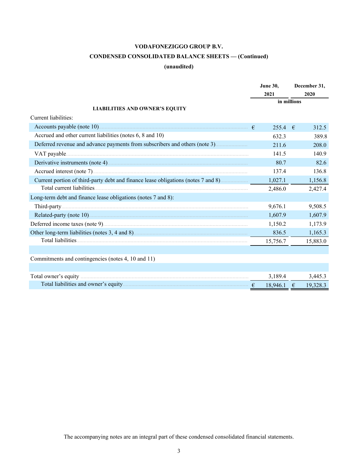# **CONDENSED CONSOLIDATED BALANCE SHEETS — (Continued)**

# **(unaudited)**

|                                                                                    | <b>June 30.</b><br>2021 |  | December 31,<br>2020 |
|------------------------------------------------------------------------------------|-------------------------|--|----------------------|
|                                                                                    | in millions             |  |                      |
| <b>LIABILITIES AND OWNER'S EQUITY</b>                                              |                         |  |                      |
| Current liabilities:                                                               |                         |  |                      |
|                                                                                    | $255.4$ €               |  | 312.5                |
| Accrued and other current liabilities (notes 6, 8 and 10)                          | 632.3                   |  | 389.8                |
|                                                                                    | 211.6                   |  | 208.0                |
|                                                                                    | 141.5                   |  | 140.9                |
|                                                                                    | 80.7                    |  | 82.6                 |
|                                                                                    | 137.4                   |  | 136.8                |
| Current portion of third-party debt and finance lease obligations (notes 7 and 8). | 1,027.1                 |  | 1,156.8              |
|                                                                                    | 2,486.0                 |  | 2,427.4              |
| Long-term debt and finance lease obligations (notes 7 and 8):                      |                         |  |                      |
|                                                                                    | 9,676.1                 |  | 9,508.5              |
|                                                                                    | 1,607.9                 |  | 1,607.9              |
|                                                                                    | 1,150.2                 |  | 1,173.9              |
|                                                                                    | 836.5                   |  | 1,165.3              |
|                                                                                    | 15,756.7                |  | 15,883.0             |
|                                                                                    |                         |  |                      |
| Commitments and contingencies (notes 4, 10 and 11)                                 |                         |  |                      |
|                                                                                    |                         |  |                      |
|                                                                                    | 3,189.4                 |  | 3,445.3              |
|                                                                                    | $18,946.1$ €            |  | 19,328.3             |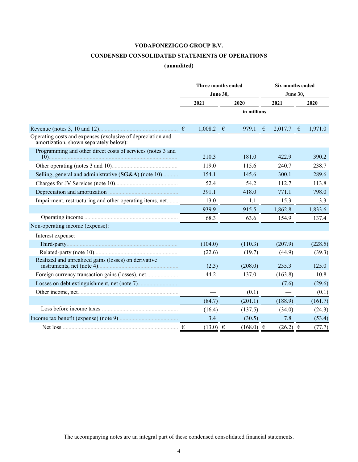# **CONDENSED CONSOLIDATED STATEMENTS OF OPERATIONS**

# **(unaudited)**

<span id="page-4-0"></span>

|                                                                                                       |            | Three months ended |                 |                  |  | <b>Six months ended</b> |   |         |
|-------------------------------------------------------------------------------------------------------|------------|--------------------|-----------------|------------------|--|-------------------------|---|---------|
|                                                                                                       |            |                    | <b>June 30,</b> |                  |  | June 30,                |   |         |
|                                                                                                       |            | 2021               |                 | 2020             |  | 2021                    |   | 2020    |
|                                                                                                       |            |                    |                 | in millions      |  |                         |   |         |
|                                                                                                       | $\epsilon$ | 1,008.2            | $\epsilon$      | 979.1 $\epsilon$ |  | 2,017.7                 | € | 1,971.0 |
| Operating costs and expenses (exclusive of depreciation and<br>amortization, shown separately below): |            |                    |                 |                  |  |                         |   |         |
| Programming and other direct costs of services (notes 3 and                                           |            | 210.3              |                 | 181.0            |  | 422.9                   |   | 390.2   |
|                                                                                                       |            | 119.0              |                 | 115.6            |  | 240.7                   |   | 238.7   |
| Selling, general and administrative (SG&A) (note 10)                                                  |            | 154.1              |                 | 145.6            |  | 300.1                   |   | 289.6   |
| Charges for JV Services (note 10).                                                                    |            | 52.4               |                 | 54.2             |  | 112.7                   |   | 113.8   |
|                                                                                                       |            | 391.1              |                 | 418.0            |  | 771.1                   |   | 798.0   |
| Impairment, restructuring and other operating items, net                                              |            | 13.0               |                 | 1.1              |  | 15.3                    |   | 3.3     |
|                                                                                                       |            | 939.9              |                 | 915.5            |  | 1,862.8                 |   | 1,833.6 |
|                                                                                                       |            | 68.3               |                 | 63.6             |  | 154.9                   |   | 137.4   |
| Non-operating income (expense):                                                                       |            |                    |                 |                  |  |                         |   |         |
| Interest expense:                                                                                     |            |                    |                 |                  |  |                         |   |         |
|                                                                                                       |            | (104.0)            |                 | (110.3)          |  | (207.9)                 |   | (228.5) |
|                                                                                                       |            | (22.6)             |                 | (19.7)           |  | (44.9)                  |   | (39.3)  |
| Realized and unrealized gains (losses) on derivative                                                  |            | (2.3)              |                 | (208.0)          |  | 235.3                   |   | 125.0   |
|                                                                                                       |            | 44.2               |                 | 137.0            |  | (163.8)                 |   | 10.8    |
|                                                                                                       |            |                    |                 |                  |  | (7.6)                   |   | (29.6)  |
|                                                                                                       |            |                    |                 | (0.1)            |  |                         |   | (0.1)   |
|                                                                                                       |            | (84.7)             |                 | (201.1)          |  | (188.9)                 |   | (161.7) |
|                                                                                                       |            | (16.4)             |                 | (137.5)          |  | (34.0)                  |   | (24.3)  |
|                                                                                                       |            | 3.4                |                 | (30.5)           |  | 7.8                     |   | (53.4)  |
|                                                                                                       | €          | $(13.0) \in$       |                 | $(168.0) \in$    |  | $(26.2) \in$            |   | (77.7)  |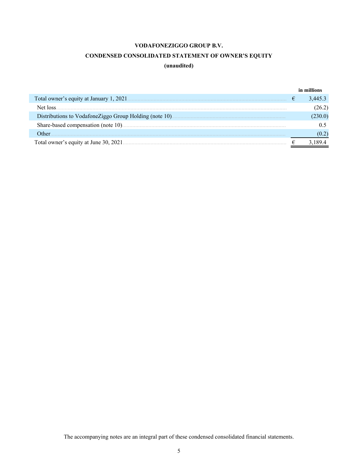# **CONDENSED CONSOLIDATED STATEMENT OF OWNER'S EQUITY**

# **(unaudited)**

<span id="page-5-0"></span>

|                                        |   | in millions |
|----------------------------------------|---|-------------|
|                                        | € | 3.445.3     |
|                                        |   |             |
|                                        |   | 230.0)      |
|                                        |   |             |
| Other                                  |   |             |
| Total owner's equity at June 30, 2021. |   |             |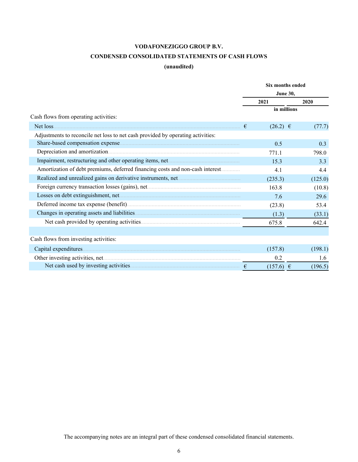# **CONDENSED CONSOLIDATED STATEMENTS OF CASH FLOWS**

# **(unaudited)**

<span id="page-6-0"></span>

| <b>June 30,</b><br>2021<br>2020<br>in millions                                       | (77.7)  |
|--------------------------------------------------------------------------------------|---------|
|                                                                                      |         |
|                                                                                      |         |
|                                                                                      |         |
| Cash flows from operating activities:                                                |         |
| Net loss.<br>€<br>$(26.2) \in$                                                       |         |
| Adjustments to reconcile net loss to net cash provided by operating activities:      |         |
| 0.5                                                                                  | 0.3     |
| 771.1                                                                                | 798.0   |
| 15.3                                                                                 | 3.3     |
| Amortization of debt premiums, deferred financing costs and non-cash interest<br>4.1 | 4.4     |
| (235.3)                                                                              | (125.0) |
| 163.8                                                                                | (10.8)  |
| 7.6                                                                                  | 29.6    |
| (23.8)                                                                               | 53.4    |
| (1.3)                                                                                | (33.1)  |
| 675.8                                                                                | 642.4   |
|                                                                                      |         |
| Cash flows from investing activities:                                                |         |
| (157.8)                                                                              | (198.1) |
| 0.2                                                                                  | 1.6     |
| $(157.6) \in$<br>$\epsilon$                                                          | (196.5) |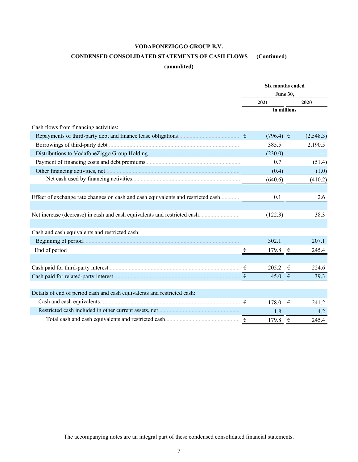# **CONDENSED CONSOLIDATED STATEMENTS OF CASH FLOWS — (Continued)**

# **(unaudited)**

|                                                                         |                         | Six months ended |            |           |
|-------------------------------------------------------------------------|-------------------------|------------------|------------|-----------|
|                                                                         |                         |                  |            |           |
|                                                                         |                         | 2021             |            | 2020      |
|                                                                         |                         | in millions      |            |           |
| Cash flows from financing activities:                                   |                         |                  |            |           |
| Repayments of third-party debt and finance lease obligations.           |                         | $(796.4) \in$    |            | (2,548.3) |
|                                                                         |                         | 385.5            |            | 2,190.5   |
|                                                                         |                         | (230.0)          |            |           |
|                                                                         |                         | 0.7              |            | (51.4)    |
|                                                                         |                         | (0.4)            |            | (1.0)     |
|                                                                         |                         | (640.6)          |            | (410.2)   |
|                                                                         |                         |                  |            |           |
|                                                                         |                         | 0.1              |            | 2.6       |
|                                                                         |                         |                  |            |           |
|                                                                         |                         | (122.3)          |            | 38.3      |
|                                                                         |                         |                  |            |           |
| Cash and cash equivalents and restricted cash:                          |                         |                  |            |           |
|                                                                         |                         | 302.1            |            | 207.1     |
| End of period                                                           | $\boldsymbol{\epsilon}$ | 179.8            | $\epsilon$ | 245.4     |
|                                                                         |                         |                  |            |           |
|                                                                         | €                       | 205.2            | €          | 224.6     |
|                                                                         | €                       | 45.0             | €          | 39.3      |
|                                                                         |                         |                  |            |           |
| Details of end of period cash and cash equivalents and restricted cash: |                         |                  |            |           |
|                                                                         |                         | 178.0            | €          | 241.2     |
|                                                                         |                         | 1.8              |            | 4.2       |
|                                                                         |                         | 179.8            | €          | 245.4     |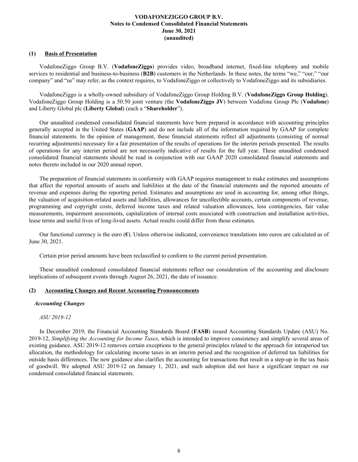# <span id="page-8-0"></span>**(1) Basis of Presentation**

VodafoneZiggo Group B.V. (**VodafoneZiggo**) provides video, broadband internet, fixed-line telephony and mobile services to residential and business-to-business (**B2B**) customers in the Netherlands. In these notes, the terms "we," "our," "our company" and "us" may refer, as the context requires, to VodafoneZiggo or collectively to VodafoneZiggo and its subsidiaries.

VodafoneZiggo is a wholly-owned subsidiary of VodafoneZiggo Group Holding B.V. (**VodafoneZiggo Group Holding**). VodafoneZiggo Group Holding is a 50:50 joint venture (the **VodafoneZiggo JV**) between Vodafone Group Plc (**Vodafone**) and Liberty Global plc (**Liberty Global**) (each a "**Shareholder**").

Our unaudited condensed consolidated financial statements have been prepared in accordance with accounting principles generally accepted in the United States (**GAAP**) and do not include all of the information required by GAAP for complete financial statements. In the opinion of management, these financial statements reflect all adjustments (consisting of normal recurring adjustments) necessary for a fair presentation of the results of operations for the interim periods presented. The results of operations for any interim period are not necessarily indicative of results for the full year. These unaudited condensed consolidated financial statements should be read in conjunction with our GAAP 2020 consolidated financial statements and notes thereto included in our 2020 annual report.

The preparation of financial statements in conformity with GAAP requires management to make estimates and assumptions that affect the reported amounts of assets and liabilities at the date of the financial statements and the reported amounts of revenue and expenses during the reporting period. Estimates and assumptions are used in accounting for, among other things, the valuation of acquisition-related assets and liabilities, allowances for uncollectible accounts, certain components of revenue, programming and copyright costs, deferred income taxes and related valuation allowances, loss contingencies, fair value measurements, impairment assessments, capitalization of internal costs associated with construction and installation activities, lease terms and useful lives of long-lived assets. Actual results could differ from those estimates.

Our functional currency is the euro (**€**). Unless otherwise indicated, convenience translations into euros are calculated as of June 30, 2021.

Certain prior period amounts have been reclassified to conform to the current period presentation.

These unaudited condensed consolidated financial statements reflect our consideration of the accounting and disclosure implications of subsequent events through August 26, 2021, the date of issuance.

### **(2) Accounting Changes and Recent Accounting Pronouncements**

### *Accounting Changes*

## *ASU 2019-12*

In December 2019, the Financial Accounting Standards Board (**FASB**) issued Accounting Standards Update (ASU) No. 2019-12, *Simplifying the Accounting for Income Taxes*, which is intended to improve consistency and simplify several areas of existing guidance. ASU 2019-12 removes certain exceptions to the general principles related to the approach for intraperiod tax allocation, the methodology for calculating income taxes in an interim period and the recognition of deferred tax liabilities for outside basis differences. The new guidance also clarifies the accounting for transactions that result in a step-up in the tax basis of goodwill. We adopted ASU 2019-12 on January 1, 2021, and such adoption did not have a significant impact on our condensed consolidated financial statements.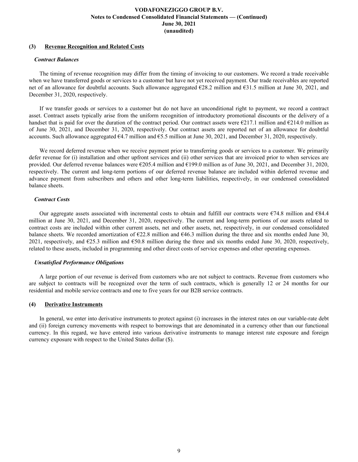# **(3) Revenue Recognition and Related Costs**

#### *Contract Balances*

The timing of revenue recognition may differ from the timing of invoicing to our customers. We record a trade receivable when we have transferred goods or services to a customer but have not yet received payment. Our trade receivables are reported net of an allowance for doubtful accounts. Such allowance aggregated  $\epsilon$ 28.2 million and  $\epsilon$ 31.5 million at June 30, 2021, and December 31, 2020, respectively.

If we transfer goods or services to a customer but do not have an unconditional right to payment, we record a contract asset. Contract assets typically arise from the uniform recognition of introductory promotional discounts or the delivery of a handset that is paid for over the duration of the contract period. Our contract assets were  $\epsilon$ 217.1 million and  $\epsilon$ 214.0 million as of June 30, 2021, and December 31, 2020, respectively. Our contract assets are reported net of an allowance for doubtful accounts. Such allowance aggregated  $\epsilon$ 4.7 million and  $\epsilon$ 5.5 million at June 30, 2021, and December 31, 2020, respectively.

We record deferred revenue when we receive payment prior to transferring goods or services to a customer. We primarily defer revenue for (i) installation and other upfront services and (ii) other services that are invoiced prior to when services are provided. Our deferred revenue balances were €205.4 million and €199.0 million as of June 30, 2021, and December 31, 2020, respectively. The current and long-term portions of our deferred revenue balance are included within deferred revenue and advance payment from subscribers and others and other long-term liabilities, respectively, in our condensed consolidated balance sheets.

# *Contract Costs*

Our aggregate assets associated with incremental costs to obtain and fulfill our contracts were  $\epsilon$ 74.8 million and  $\epsilon$ 84.4 million at June 30, 2021, and December 31, 2020, respectively. The current and long-term portions of our assets related to contract costs are included within other current assets, net and other assets, net, respectively, in our condensed consolidated balance sheets. We recorded amortization of  $\epsilon$ 22.8 million and  $\epsilon$ 46.3 million during the three and six months ended June 30, 2021, respectively, and  $\epsilon$ 25.3 million and  $\epsilon$ 50.8 million during the three and six months ended June 30, 2020, respectively, related to these assets, included in programming and other direct costs of service expenses and other operating expenses.

### *Unsatisfied Performance Obligations*

A large portion of our revenue is derived from customers who are not subject to contracts. Revenue from customers who are subject to contracts will be recognized over the term of such contracts, which is generally 12 or 24 months for our residential and mobile service contracts and one to five years for our B2B service contracts.

### **(4) Derivative Instruments**

In general, we enter into derivative instruments to protect against (i) increases in the interest rates on our variable-rate debt and (ii) foreign currency movements with respect to borrowings that are denominated in a currency other than our functional currency. In this regard, we have entered into various derivative instruments to manage interest rate exposure and foreign currency exposure with respect to the United States dollar (\$).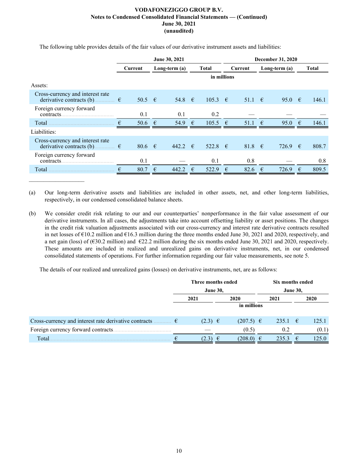|                                                                                      | June 30, 2021 |                 |   |                 |   | <b>December 31, 2020</b> |   |            |            |                 |            |              |
|--------------------------------------------------------------------------------------|---------------|-----------------|---|-----------------|---|--------------------------|---|------------|------------|-----------------|------------|--------------|
|                                                                                      |               | Current         |   | Long-term $(a)$ |   | <b>Total</b>             |   | Current    |            | Long-term $(a)$ |            | <b>Total</b> |
|                                                                                      |               |                 |   |                 |   | in millions              |   |            |            |                 |            |              |
| Assets:                                                                              |               |                 |   |                 |   |                          |   |            |            |                 |            |              |
| Cross-currency and interest rate<br>derivative contracts (b).<br>$\ldots \ldots \in$ |               | 50.5 $\epsilon$ |   | 54.8 $\in$      |   | 105.3 $\in$              |   | 51.1 $\in$ |            | 95.0            | $\epsilon$ | 146.1        |
| Foreign currency forward<br>contracts.                                               |               | 0.1             |   | 0.1             |   | 0.2                      |   |            |            |                 |            |              |
| Total                                                                                | €             | 50.6            | € | 54.9            | € | 105.5                    | € | 51.1       | $\epsilon$ | 95.0            | €          | 146.1        |
| Liabilities:                                                                         |               |                 |   |                 |   |                          |   |            |            |                 |            |              |
| Cross-currency and interest rate<br>$\cdots$ $\in$<br>derivative contracts (b)       |               | 80.6 $\epsilon$ |   | 442.2 $\in$     |   | 522.8 $\in$              |   | 81.8 $\in$ |            | 726.9           | $\epsilon$ | 808.7        |
| Foreign currency forward<br>contracts.                                               |               | 0.1             |   |                 |   | 0.1                      |   | 0.8        |            |                 |            | 0.8          |
| Total                                                                                | €             | 80.7            | € | 442.2           | € | 522.9                    | € | 82.6       | $\epsilon$ | 726.9           | €          | 809.5        |

The following table provides details of the fair values of our derivative instrument assets and liabilities:

(a) Our long-term derivative assets and liabilities are included in other assets, net, and other long-term liabilities, respectively, in our condensed consolidated balance sheets.

(b) We consider credit risk relating to our and our counterparties' nonperformance in the fair value assessment of our derivative instruments. In all cases, the adjustments take into account offsetting liability or asset positions. The changes in the credit risk valuation adjustments associated with our cross-currency and interest rate derivative contracts resulted in net losses of €10.2 million and €16.3 million during the three months ended June 30, 2021 and 2020, respectively, and a net gain (loss) of ( $\epsilon$ 30.2 million) and  $\epsilon$ 22.2 million during the six months ended June 30, 2021 and 2020, respectively. These amounts are included in realized and unrealized gains on derivative instruments, net, in our condensed consolidated statements of operations. For further information regarding our fair value measurements, see note 5.

The details of our realized and unrealized gains (losses) on derivative instruments, net, are as follows:

|                                                                                      | Three months ended |             |  | Six months ended |  |                 |      |       |  |      |
|--------------------------------------------------------------------------------------|--------------------|-------------|--|------------------|--|-----------------|------|-------|--|------|
|                                                                                      | <b>June 30,</b>    |             |  |                  |  | <b>June 30,</b> |      |       |  |      |
|                                                                                      |                    | 2021        |  | 2020             |  |                 | 2021 |       |  | 2020 |
|                                                                                      |                    |             |  | in millions      |  |                 |      |       |  |      |
|                                                                                      |                    |             |  |                  |  |                 |      |       |  |      |
| Cross-currency and interest rate derivative contracts $\dots \dots \in \mathfrak{E}$ |                    | $(2.3) \in$ |  | $(207.5)$ $\in$  |  | 235.1 €         |      | 125.1 |  |      |
| Foreign currency forward contracts                                                   |                    |             |  | (0.5)            |  | 0.2             |      | (0.1) |  |      |
| <b>Total</b>                                                                         |                    | (2.3) ∈     |  | $(208.0) \in$    |  | 2353            | −€   | 125.0 |  |      |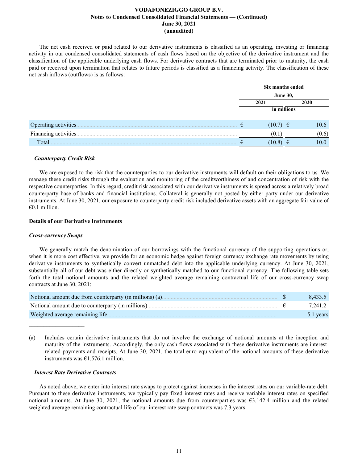The net cash received or paid related to our derivative instruments is classified as an operating, investing or financing activity in our condensed consolidated statements of cash flows based on the objective of the derivative instrument and the classification of the applicable underlying cash flows. For derivative contracts that are terminated prior to maturity, the cash paid or received upon termination that relates to future periods is classified as a financing activity. The classification of these net cash inflows (outflows) is as follows:

|                       | Six months ended |       |  |  |  |  |
|-----------------------|------------------|-------|--|--|--|--|
|                       | <b>June 30,</b>  |       |  |  |  |  |
|                       | 2021             | 2020  |  |  |  |  |
|                       | in millions      |       |  |  |  |  |
| Operating activities. | $(10.7) \in$     | 10.6  |  |  |  |  |
| Financing activities. | (0.1)            | (0.6) |  |  |  |  |
| Total                 | 10.8             | 10.0  |  |  |  |  |

### *Counterparty Credit Risk*

We are exposed to the risk that the counterparties to our derivative instruments will default on their obligations to us. We manage these credit risks through the evaluation and monitoring of the creditworthiness of and concentration of risk with the respective counterparties. In this regard, credit risk associated with our derivative instruments is spread across a relatively broad counterparty base of banks and financial institutions. Collateral is generally not posted by either party under our derivative instruments. At June 30, 2021, our exposure to counterparty credit risk included derivative assets with an aggregate fair value of  $€0.1$  million.

#### **Details of our Derivative Instruments**

#### *Cross-currency Swaps*

 $\mathcal{L}_\text{max}$  , where  $\mathcal{L}_\text{max}$  and  $\mathcal{L}_\text{max}$ 

We generally match the denomination of our borrowings with the functional currency of the supporting operations or, when it is more cost effective, we provide for an economic hedge against foreign currency exchange rate movements by using derivative instruments to synthetically convert unmatched debt into the applicable underlying currency. At June 30, 2021, substantially all of our debt was either directly or synthetically matched to our functional currency. The following table sets forth the total notional amounts and the related weighted average remaining contractual life of our cross-currency swap contracts at June 30, 2021:

| Notional amount due from counterparty (in millions) (a) | 8.433.5   |
|---------------------------------------------------------|-----------|
| Notional amount due to counterparty (in millions).      | 7,241.2   |
| Weighted average remaining life.                        | 5.1 years |

(a) Includes certain derivative instruments that do not involve the exchange of notional amounts at the inception and maturity of the instruments. Accordingly, the only cash flows associated with these derivative instruments are interestrelated payments and receipts. At June 30, 2021, the total euro equivalent of the notional amounts of these derivative instruments was €1,576.1 million.

#### *Interest Rate Derivative Contracts*

As noted above, we enter into interest rate swaps to protect against increases in the interest rates on our variable-rate debt. Pursuant to these derivative instruments, we typically pay fixed interest rates and receive variable interest rates on specified notional amounts. At June 30, 2021, the notional amounts due from counterparties was  $\epsilon$ 3,142.4 million and the related weighted average remaining contractual life of our interest rate swap contracts was 7.3 years.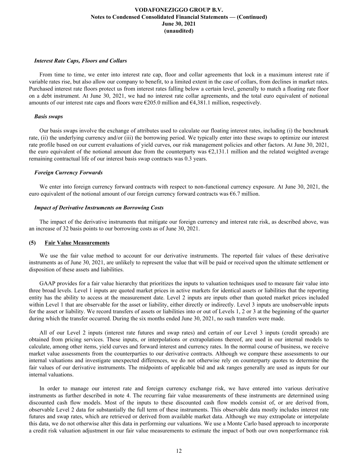### *Interest Rate Caps, Floors and Collars*

From time to time, we enter into interest rate cap, floor and collar agreements that lock in a maximum interest rate if variable rates rise, but also allow our company to benefit, to a limited extent in the case of collars, from declines in market rates. Purchased interest rate floors protect us from interest rates falling below a certain level, generally to match a floating rate floor on a debt instrument. At June 30, 2021, we had no interest rate collar agreements, and the total euro equivalent of notional amounts of our interest rate caps and floors were  $\epsilon$ 205.0 million and  $\epsilon$ 4,381.1 million, respectively.

### *Basis swaps*

Our basis swaps involve the exchange of attributes used to calculate our floating interest rates, including (i) the benchmark rate, (ii) the underlying currency and/or (iii) the borrowing period. We typically enter into these swaps to optimize our interest rate profile based on our current evaluations of yield curves, our risk management policies and other factors. At June 30, 2021, the euro equivalent of the notional amount due from the counterparty was  $\epsilon_{2,131.1}$  million and the related weighted average remaining contractual life of our interest basis swap contracts was 0.3 years.

# *Foreign Currency Forwards*

We enter into foreign currency forward contracts with respect to non-functional currency exposure. At June 30, 2021, the euro equivalent of the notional amount of our foreign currency forward contracts was €6.7 million.

# *Impact of Derivative Instruments on Borrowing Costs*

The impact of the derivative instruments that mitigate our foreign currency and interest rate risk, as described above, was an increase of 32 basis points to our borrowing costs as of June 30, 2021.

### **(5) Fair Value Measurements**

We use the fair value method to account for our derivative instruments. The reported fair values of these derivative instruments as of June 30, 2021, are unlikely to represent the value that will be paid or received upon the ultimate settlement or disposition of these assets and liabilities.

GAAP provides for a fair value hierarchy that prioritizes the inputs to valuation techniques used to measure fair value into three broad levels. Level 1 inputs are quoted market prices in active markets for identical assets or liabilities that the reporting entity has the ability to access at the measurement date. Level 2 inputs are inputs other than quoted market prices included within Level 1 that are observable for the asset or liability, either directly or indirectly. Level 3 inputs are unobservable inputs for the asset or liability. We record transfers of assets or liabilities into or out of Levels 1, 2 or 3 at the beginning of the quarter during which the transfer occurred. During the six months ended June 30, 2021, no such transfers were made.

All of our Level 2 inputs (interest rate futures and swap rates) and certain of our Level 3 inputs (credit spreads) are obtained from pricing services. These inputs, or interpolations or extrapolations thereof, are used in our internal models to calculate, among other items, yield curves and forward interest and currency rates. In the normal course of business, we receive market value assessments from the counterparties to our derivative contracts. Although we compare these assessments to our internal valuations and investigate unexpected differences, we do not otherwise rely on counterparty quotes to determine the fair values of our derivative instruments. The midpoints of applicable bid and ask ranges generally are used as inputs for our internal valuations.

In order to manage our interest rate and foreign currency exchange risk, we have entered into various derivative instruments as further described in note 4. The recurring fair value measurements of these instruments are determined using discounted cash flow models. Most of the inputs to these discounted cash flow models consist of, or are derived from, observable Level 2 data for substantially the full term of these instruments. This observable data mostly includes interest rate futures and swap rates, which are retrieved or derived from available market data. Although we may extrapolate or interpolate this data, we do not otherwise alter this data in performing our valuations. We use a Monte Carlo based approach to incorporate a credit risk valuation adjustment in our fair value measurements to estimate the impact of both our own nonperformance risk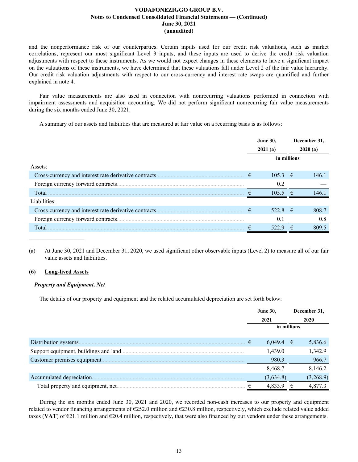and the nonperformance risk of our counterparties. Certain inputs used for our credit risk valuations, such as market correlations, represent our most significant Level 3 inputs, and these inputs are used to derive the credit risk valuation adjustments with respect to these instruments. As we would not expect changes in these elements to have a significant impact on the valuations of these instruments, we have determined that these valuations fall under Level 2 of the fair value hierarchy. Our credit risk valuation adjustments with respect to our cross-currency and interest rate swaps are quantified and further explained in note 4.

Fair value measurements are also used in connection with nonrecurring valuations performed in connection with impairment assessments and acquisition accounting. We did not perform significant nonrecurring fair value measurements during the six months ended June 30, 2021.

A summary of our assets and liabilities that are measured at fair value on a recurring basis is as follows:

|                                                        |   | <b>June 30,</b><br>2021(a) |   | December 31,<br>2020(a) |
|--------------------------------------------------------|---|----------------------------|---|-------------------------|
|                                                        |   | in millions                |   |                         |
| Assets:                                                |   |                            |   |                         |
| Cross-currency and interest rate derivative contracts. | € | $105.3 \in$                |   | 146.1                   |
|                                                        |   | 0.2                        |   |                         |
| Total                                                  |   | $105.5 \text{ } \in$       |   | 1461                    |
| Liabilities:                                           |   |                            |   |                         |
|                                                        | € | 522.8 €                    |   | 808.7                   |
|                                                        |   | 0.1                        |   | 0.8                     |
| Total                                                  |   | 522.9                      | € | 809.5                   |

(a) At June 30, 2021 and December 31, 2020, we used significant other observable inputs (Level 2) to measure all of our fair value assets and liabilities.

# **(6) Long-lived Assets**

 $\mathcal{L}_\text{max}$  , where  $\mathcal{L}_\text{max}$  and  $\mathcal{L}_\text{max}$ 

### *Property and Equipment, Net*

The details of our property and equipment and the related accumulated depreciation are set forth below:

|                                        | <b>June 30,</b> |             | December 31, |
|----------------------------------------|-----------------|-------------|--------------|
|                                        | 2021            |             | 2020         |
|                                        |                 | in millions |              |
| Distribution systems.                  | $6,049.4$ €     |             | 5,836.6      |
| Support equipment, buildings and land. | 1,439.0         |             | 1,342.9      |
| Customer premises equipment.           | 980.3           |             | 966.7        |
|                                        | 8,468.7         |             | 8,146.2      |
| Accumulated depreciation.              | (3,634.8)       |             | (3,268.9)    |
| Total property and equipment, net.     | 4,833.9         | €           | 4.877.3      |

During the six months ended June 30, 2021 and 2020, we recorded non-cash increases to our property and equipment related to vendor financing arrangements of €252.0 million and €230.8 million, respectively, which exclude related value added taxes (VAT) of  $\epsilon$ 21.1 million and  $\epsilon$ 20.4 million, respectively, that were also financed by our vendors under these arrangements.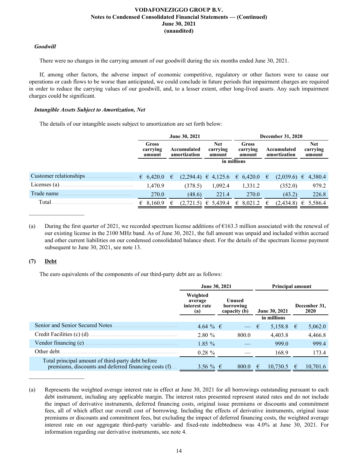# *Goodwill*

There were no changes in the carrying amount of our goodwill during the six months ended June 30, 2021.

If, among other factors, the adverse impact of economic competitive, regulatory or other factors were to cause our operations or cash flows to be worse than anticipated, we could conclude in future periods that impairment charges are required in order to reduce the carrying values of our goodwill, and, to a lesser extent, other long-lived assets. Any such impairment charges could be significant.

# *Intangible Assets Subject to Amortization, Net*

The details of our intangible assets subject to amortization are set forth below:

|                         |                             | June 30, 2021                                                   |                                     |                             | <b>December 31, 2020</b>    |                                  |
|-------------------------|-----------------------------|-----------------------------------------------------------------|-------------------------------------|-----------------------------|-----------------------------|----------------------------------|
|                         | Gross<br>carrying<br>amount | <b>Net</b><br>Accumulated<br>carrying<br>amortization<br>amount |                                     | Gross<br>carrying<br>amount | Accumulated<br>amortization | <b>Net</b><br>carrying<br>amount |
|                         |                             |                                                                 |                                     | in millions                 |                             |                                  |
| Customer relationships. | 6,420.0                     | €                                                               | $(2,294.4) \in 4,125.6 \in 6,420.0$ |                             | (2,039.6)<br>€              | 4,380.4<br>€                     |
| Licenses (a).           | 1,470.9                     | (378.5)                                                         | 1,092.4                             | 1,331.2                     | (352.0)                     | 979.2                            |
| Trade name              | 270.0                       | (48.6)                                                          | 221.4                               | 270.0                       | (43.2)                      | 226.8                            |
| Total                   | 8,160.9<br>€                | (2,721.5)<br>€                                                  | € 5,439.4                           | $\epsilon$ 8.021.2          | (2,434.8)<br>€              | 5,586.4<br>€                     |

(a) During the first quarter of 2021, we recorded spectrum license additions of  $\epsilon$ 163.3 million associated with the renewal of our existing license in the 2100 MHz band. As of June 30, 2021, the full amount was unpaid and included within accrued and other current liabilities on our condensed consolidated balance sheet. For the details of the spectrum license payment subsequent to June 30, 2021, see note 13.

# **(7) Debt**

 $\mathcal{L}_\text{max}$  , where  $\mathcal{L}_\text{max}$  and  $\mathcal{L}_\text{max}$ 

The euro equivalents of the components of our third-party debt are as follows:

|                                                                                                            | June 30, 2021                               |                                     | <b>Principal amount</b> |   |                             |
|------------------------------------------------------------------------------------------------------------|---------------------------------------------|-------------------------------------|-------------------------|---|-----------------------------|
|                                                                                                            | Weighted<br>average<br>interest rate<br>(a) | Unused<br>borrowing<br>capacity (b) | June 30, 2021           |   | December 31,<br><b>2020</b> |
|                                                                                                            |                                             |                                     | in millions             |   |                             |
| Senior and Senior Secured Notes                                                                            | 4.64 % €                                    | $ \epsilon$                         | 5,158.8 €               |   | 5,062.0                     |
| Credit Facilities (c) (d)                                                                                  | 2.80%                                       | 800.0                               | 4,403.8                 |   | 4,466.8                     |
| Vendor financing (e).                                                                                      | $1.85\%$                                    |                                     | 999.0                   |   | 999.4                       |
| Other debt.                                                                                                | $0.28 \%$                                   |                                     | 168.9                   |   | 173.4                       |
| Total principal amount of third-party debt before<br>premiums, discounts and deferred financing costs (f). | 3.56 % €                                    | 800.0                               | 10,730.5<br>€           | € | 10,701.6                    |

<sup>(</sup>a) Represents the weighted average interest rate in effect at June 30, 2021 for all borrowings outstanding pursuant to each debt instrument, including any applicable margin. The interest rates presented represent stated rates and do not include the impact of derivative instruments, deferred financing costs, original issue premiums or discounts and commitment fees, all of which affect our overall cost of borrowing. Including the effects of derivative instruments, original issue premiums or discounts and commitment fees, but excluding the impact of deferred financing costs, the weighted average interest rate on our aggregate third-party variable- and fixed-rate indebtedness was 4.0% at June 30, 2021. For information regarding our derivative instruments, see note 4.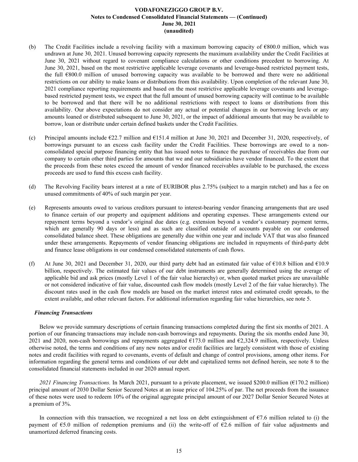- (b) The Credit Facilities include a revolving facility with a maximum borrowing capacity of €800.0 million, which was undrawn at June 30, 2021. Unused borrowing capacity represents the maximum availability under the Credit Facilities at June 30, 2021 without regard to covenant compliance calculations or other conditions precedent to borrowing. At June 30, 2021, based on the most restrictive applicable leverage covenants and leverage-based restricted payment tests, the full €800.0 million of unused borrowing capacity was available to be borrowed and there were no additional restrictions on our ability to make loans or distributions from this availability. Upon completion of the relevant June 30, 2021 compliance reporting requirements and based on the most restrictive applicable leverage covenants and leveragebased restricted payment tests, we expect that the full amount of unused borrowing capacity will continue to be available to be borrowed and that there will be no additional restrictions with respect to loans or distributions from this availability. Our above expectations do not consider any actual or potential changes in our borrowing levels or any amounts loaned or distributed subsequent to June 30, 2021, or the impact of additional amounts that may be available to borrow, loan or distribute under certain defined baskets under the Credit Facilities.
- (c) Principal amounts include  $\epsilon$ 22.7 million and  $\epsilon$ 151.4 million at June 30, 2021 and December 31, 2020, respectively, of borrowings pursuant to an excess cash facility under the Credit Facilities. These borrowings are owed to a nonconsolidated special purpose financing entity that has issued notes to finance the purchase of receivables due from our company to certain other third parties for amounts that we and our subsidiaries have vendor financed. To the extent that the proceeds from these notes exceed the amount of vendor financed receivables available to be purchased, the excess proceeds are used to fund this excess cash facility.
- (d) The Revolving Facility bears interest at a rate of EURIBOR plus 2.75% (subject to a margin ratchet) and has a fee on unused commitments of 40% of such margin per year.
- (e) Represents amounts owed to various creditors pursuant to interest-bearing vendor financing arrangements that are used to finance certain of our property and equipment additions and operating expenses. These arrangements extend our repayment terms beyond a vendor's original due dates (e.g. extension beyond a vendor's customary payment terms, which are generally 90 days or less) and as such are classified outside of accounts payable on our condensed consolidated balance sheet. These obligations are generally due within one year and include VAT that was also financed under these arrangements. Repayments of vendor financing obligations are included in repayments of third-party debt and finance lease obligations in our condensed consolidated statements of cash flows.
- (f) At June 30, 2021 and December 31, 2020, our third party debt had an estimated fair value of  $\epsilon$ 10.8 billion and  $\epsilon$ 10.9 billion, respectively. The estimated fair values of our debt instruments are generally determined using the average of applicable bid and ask prices (mostly Level 1 of the fair value hierarchy) or, when quoted market prices are unavailable or not considered indicative of fair value, discounted cash flow models (mostly Level 2 of the fair value hierarchy). The discount rates used in the cash flow models are based on the market interest rates and estimated credit spreads, to the extent available, and other relevant factors. For additional information regarding fair value hierarchies, see note 5.

### *Financing Transactions*

Below we provide summary descriptions of certain financing transactions completed during the first six months of 2021. A portion of our financing transactions may include non-cash borrowings and repayments. During the six months ended June 30, 2021 and 2020, non-cash borrowings and repayments aggregated  $E173.0$  million and  $E2,324.9$  million, respectively. Unless otherwise noted, the terms and conditions of any new notes and/or credit facilities are largely consistent with those of existing notes and credit facilities with regard to covenants, events of default and change of control provisions, among other items. For information regarding the general terms and conditions of our debt and capitalized terms not defined herein, see note 8 to the consolidated financial statements included in our 2020 annual report.

*2021 Financing Transactions.* In March 2021, pursuant to a private placement, we issued \$200.0 million (€170.2 million) principal amount of 2030 Dollar Senior Secured Notes at an issue price of 104.25% of par. The net proceeds from the issuance of these notes were used to redeem 10% of the original aggregate principal amount of our 2027 Dollar Senior Secured Notes at a premium of 3%.

In connection with this transaction, we recognized a net loss on debt extinguishment of  $\epsilon$ 7.6 million related to (i) the payment of  $\epsilon$ 5.0 million of redemption premiums and (ii) the write-off of  $\epsilon$ 2.6 million of fair value adjustments and unamortized deferred financing costs.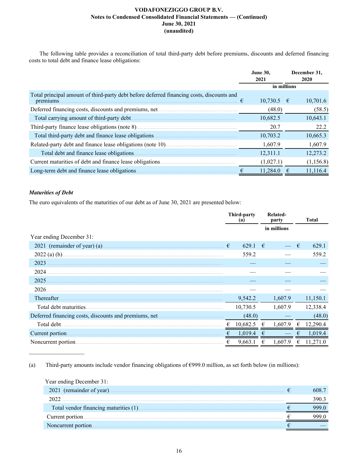The following table provides a reconciliation of total third-party debt before premiums, discounts and deferred financing costs to total debt and finance lease obligations:

|                                                                                                        |   | <b>June 30.</b><br>2021 |  | December 31,<br>2020 |
|--------------------------------------------------------------------------------------------------------|---|-------------------------|--|----------------------|
|                                                                                                        |   | in millions             |  |                      |
| Total principal amount of third-party debt before deferred financing costs, discounts and<br>premiums. | € | $10,730.5$ €            |  | 10,701.6             |
|                                                                                                        |   | (48.0)                  |  | (58.5)               |
|                                                                                                        |   | 10,682.5                |  | 10,643.1             |
|                                                                                                        |   | 20.7                    |  | 22.2                 |
| Total third-party debt and finance lease obligations.                                                  |   | 10,703.2                |  | 10,665.3             |
|                                                                                                        |   | 1,607.9                 |  | 1,607.9              |
| Total debt and finance lease obligations.                                                              |   | 12,311.1                |  | 12,273.2             |
| Current maturities of debt and finance lease obligations.                                              |   | (1,027.1)               |  | (1,156.8)            |
| Long-term debt and finance lease obligations.                                                          |   | 11.284.0                |  | 11,116.4             |

# *Maturities of Debt*

 $\mathcal{L}_\text{max}$  , where  $\mathcal{L}_\text{max}$  and  $\mathcal{L}_\text{max}$ 

The euro equivalents of the maturities of our debt as of June 30, 2021 are presented below:

|                                                       |   | <b>Third-party</b><br>(a) |   | Related-<br>party |   | <b>Total</b> |
|-------------------------------------------------------|---|---------------------------|---|-------------------|---|--------------|
|                                                       |   |                           |   | in millions       |   |              |
| Year ending December 31:                              |   |                           |   |                   |   |              |
| 2021 (remainder of year) (a).                         | € | 629.1                     | € |                   | € | 629.1        |
| $2022$ (a) (b).                                       |   | 559.2                     |   |                   |   | 559.2        |
| 2023                                                  |   |                           |   |                   |   |              |
| 2024.                                                 |   |                           |   |                   |   |              |
| 2025                                                  |   |                           |   |                   |   |              |
| 2026.                                                 |   |                           |   |                   |   |              |
| Thereafter.                                           |   | 9,542.2                   |   | 1,607.9           |   | 11,150.1     |
| Total debt maturities.                                |   | 10,730.5                  |   | 1,607.9           |   | 12,338.4     |
| Deferred financing costs, discounts and premiums, net |   | (48.0)                    |   |                   |   | (48.0)       |
| Total debt.                                           | € | 10,682.5                  | € | 1,607.9           | € | 12,290.4     |
| Current portion.                                      | € | 1,019.4                   | € |                   | € | 1,019.4      |
| Noncurrent portion.                                   | € | 9,663.1                   | € | 1,607.9           | € | 11,271.0     |

(a)Third-party amounts include vendor financing obligations of €999.0 million, as set forth below (in millions):

| Year ending December 31: |       |
|--------------------------|-------|
|                          | 608.7 |
| 2022                     | ∂90   |
|                          |       |
|                          |       |
| Noncurrent portion.      |       |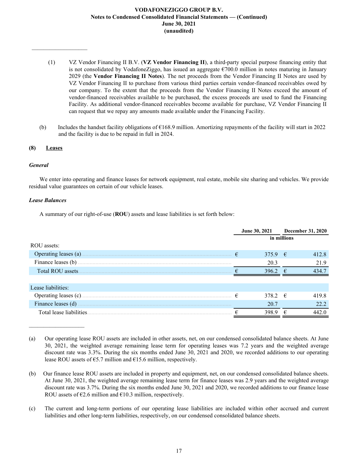- (1) VZ Vendor Financing II B.V. (**VZ Vendor Financing II**), a third-party special purpose financing entity that is not consolidated by VodafoneZiggo, has issued an aggregate  $\epsilon$ 700.0 million in notes maturing in January 2029 (the **Vendor Financing II Notes**). The net proceeds from the Vendor Financing II Notes are used by VZ Vendor Financing II to purchase from various third parties certain vendor-financed receivables owed by our company. To the extent that the proceeds from the Vendor Financing II Notes exceed the amount of vendor-financed receivables available to be purchased, the excess proceeds are used to fund the Financing Facility. As additional vendor-financed receivables become available for purchase, VZ Vendor Financing II can request that we repay any amounts made available under the Financing Facility.
- (b) Includes the handset facility obligations of  $\epsilon$ 168.9 million. Amortizing repayments of the facility will start in 2022 and the facility is due to be repaid in full in 2024.

# **(8) Leases**

 $\frac{1}{2}$  ,  $\frac{1}{2}$  ,  $\frac{1}{2}$  ,  $\frac{1}{2}$  ,  $\frac{1}{2}$  ,  $\frac{1}{2}$  ,  $\frac{1}{2}$  ,  $\frac{1}{2}$  ,  $\frac{1}{2}$  ,  $\frac{1}{2}$  ,  $\frac{1}{2}$ 

# *General*

We enter into operating and finance leases for network equipment, real estate, mobile site sharing and vehicles. We provide residual value guarantees on certain of our vehicle leases.

# *Lease Balances*

 $\mathcal{L}_\text{max}$  , where  $\mathcal{L}_\text{max}$  and  $\mathcal{L}_\text{max}$ 

A summary of our right-of-use (**ROU**) assets and lease liabilities is set forth below:

|                          |             | June 30, 2021 |            | December 31, 2020 |  |  |
|--------------------------|-------------|---------------|------------|-------------------|--|--|
|                          | in millions |               |            |                   |  |  |
| ROU assets:              |             |               |            |                   |  |  |
|                          | $\epsilon$  | 375.9 $\in$   |            | 412.8             |  |  |
| Finance leases (b)       |             | 20.3          |            | 21.9              |  |  |
| Total ROU assets         |             | 396.2         | $\epsilon$ | 434.7             |  |  |
|                          |             |               |            |                   |  |  |
| Lease liabilities:       |             |               |            |                   |  |  |
|                          | $\epsilon$  | 378.2 $\in$   |            | 4198              |  |  |
| Finance leases (d)       |             | 20.7          |            | 22.2              |  |  |
| Total lease liabilities. |             | 398.9         | €          | 442.0             |  |  |

<sup>(</sup>a) Our operating lease ROU assets are included in other assets, net, on our condensed consolidated balance sheets. At June 30, 2021, the weighted average remaining lease term for operating leases was 7.2 years and the weighted average discount rate was 3.3%. During the six months ended June 30, 2021 and 2020, we recorded additions to our operating lease ROU assets of €5.7 million and €15.6 million, respectively.

<sup>(</sup>b) Our finance lease ROU assets are included in property and equipment, net, on our condensed consolidated balance sheets. At June 30, 2021, the weighted average remaining lease term for finance leases was 2.9 years and the weighted average discount rate was 3.7%. During the six months ended June 30, 2021 and 2020, we recorded additions to our finance lease ROU assets of  $\epsilon$ 2.6 million and  $\epsilon$ 10.3 million, respectively.

<sup>(</sup>c) The current and long-term portions of our operating lease liabilities are included within other accrued and current liabilities and other long-term liabilities, respectively, on our condensed consolidated balance sheets.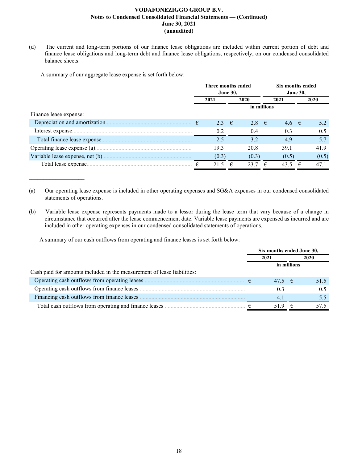(d) The current and long-term portions of our finance lease obligations are included within current portion of debt and finance lease obligations and long-term debt and finance lease obligations, respectively, on our condensed consolidated balance sheets.

A summary of our aggregate lease expense is set forth below:

 $\mathcal{L}_\text{max}$  , where  $\mathcal{L}_\text{max}$  and  $\mathcal{L}_\text{max}$ 

|                              | Three months ended |                |   |                |  | Six months ended |                 |       |  |
|------------------------------|--------------------|----------------|---|----------------|--|------------------|-----------------|-------|--|
|                              | <b>June 30,</b>    |                |   |                |  |                  | <b>June 30,</b> |       |  |
|                              |                    | 2021           |   | 2020           |  | 2021             |                 | 2020  |  |
|                              |                    |                |   | in millions    |  |                  |                 |       |  |
| Finance lease expense:       |                    |                |   |                |  |                  |                 |       |  |
|                              |                    | 2.3 $\epsilon$ |   | 2.8 $\epsilon$ |  | 4.6 $\epsilon$   |                 | 5.2   |  |
|                              |                    | 0.2            |   | 0.4            |  | 0.3              |                 | 0.5   |  |
| Total finance lease expense. |                    | 2.5            |   | 3.2            |  | 4.9              |                 | 5.7   |  |
|                              |                    | 19.3           |   | 20.8           |  | 39.1             |                 | 41.9  |  |
|                              |                    | (0.3)          |   | (0.3)          |  | (0.5)            |                 | (0.5) |  |
| Total lease expense.         |                    | 21.5           | € | 23.7           |  | 43.5             |                 | 47.1  |  |

(a) Our operating lease expense is included in other operating expenses and SG&A expenses in our condensed consolidated statements of operations.

(b) Variable lease expense represents payments made to a lessor during the lease term that vary because of a change in circumstance that occurred after the lease commencement date. Variable lease payments are expensed as incurred and are included in other operating expenses in our condensed consolidated statements of operations.

A summary of our cash outflows from operating and finance leases is set forth below:

|                                                                         | Six months ended June 30, |             |      |  |  |
|-------------------------------------------------------------------------|---------------------------|-------------|------|--|--|
|                                                                         | 2021                      | 2020        |      |  |  |
|                                                                         |                           | in millions |      |  |  |
| Cash paid for amounts included in the measurement of lease liabilities: |                           |             |      |  |  |
|                                                                         | $47.5 \t∈$                |             | 51.5 |  |  |
| Operating cash outflows from finance leases                             | 0.3                       |             | 0.5  |  |  |
| Financing cash outflows from finance leases                             | 4 <sup>1</sup>            |             | 5.5  |  |  |
| Total cash outflows from operating and finance leases                   | 519                       | €           | 57.5 |  |  |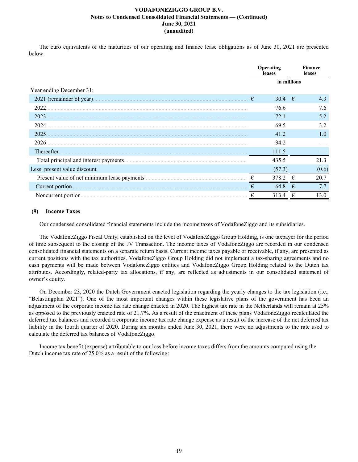The euro equivalents of the maturities of our operating and finance lease obligations as of June 30, 2021 are presented below:

|                              |   | Operating<br>leases |   | Finance<br>leases |
|------------------------------|---|---------------------|---|-------------------|
|                              |   | in millions         |   |                   |
| Year ending December 31:     |   |                     |   |                   |
| 2021 (remainder of year).    | € | 30.4 $\in$          |   | 4.3               |
| 2022                         |   | 76.6                |   | 7.6               |
| 2023                         |   | 72.1                |   | 5.2               |
| 2024.                        |   | 69.5                |   | 3.2               |
| 2025                         |   | 41.2                |   | 1.0               |
| 2026.                        |   | 34.2                |   |                   |
| Thereafter.                  |   | 111.5               |   |                   |
|                              |   | 435.5               |   | 21.3              |
| Less: present value discount |   | (57.3)              |   | (0.6)             |
|                              | € | 378.2               | € | 20.7              |
| Current portion.             |   | 64.8                |   | 7.7               |
| Noncurrent portion.          |   | 313.4               |   | 13.0              |

# **(9) Income Taxes**

Our condensed consolidated financial statements include the income taxes of VodafoneZiggo and its subsidiaries.

The VodafoneZiggo Fiscal Unity, established on the level of VodafoneZiggo Group Holding, is one taxpayer for the period of time subsequent to the closing of the JV Transaction. The income taxes of VodafoneZiggo are recorded in our condensed consolidated financial statements on a separate return basis. Current income taxes payable or receivable, if any, are presented as current positions with the tax authorities. VodafoneZiggo Group Holding did not implement a tax-sharing agreements and no cash payments will be made between VodafoneZiggo entities and VodafoneZiggo Group Holding related to the Dutch tax attributes. Accordingly, related-party tax allocations, if any, are reflected as adjustments in our consolidated statement of owner's equity.

On December 23, 2020 the Dutch Government enacted legislation regarding the yearly changes to the tax legislation (i.e., "Belastingplan 2021"). One of the most important changes within these legislative plans of the government has been an adjustment of the corporate income tax rate change enacted in 2020. The highest tax rate in the Netherlands will remain at 25% as opposed to the previously enacted rate of 21.7%. As a result of the enactment of these plans VodafoneZiggo recalculated the deferred tax balances and recorded a corporate income tax rate change expense as a result of the increase of the net deferred tax liability in the fourth quarter of 2020. During six months ended June 30, 2021, there were no adjustments to the rate used to calculate the deferred tax balances of VodafoneZiggo.

Income tax benefit (expense) attributable to our loss before income taxes differs from the amounts computed using the Dutch income tax rate of 25.0% as a result of the following: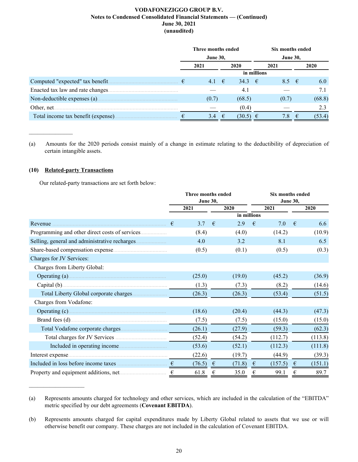|                                     | Three months ended |                 |  |                 |             | Six months ended |   |        |  |
|-------------------------------------|--------------------|-----------------|--|-----------------|-------------|------------------|---|--------|--|
|                                     |                    | <b>June 30,</b> |  |                 |             | <b>June 30,</b>  |   |        |  |
|                                     |                    | 2021            |  | 2020            |             | 2021             |   | 2020   |  |
|                                     |                    |                 |  |                 | in millions |                  |   |        |  |
| Computed "expected" tax benefit     | €                  | 4.1 $\epsilon$  |  | 34.3 $\epsilon$ |             | $8.5 \quad \in$  |   | 6.0    |  |
| Enacted tax law and rate changes    |                    |                 |  | 4.1             |             |                  |   |        |  |
|                                     |                    | (0.7)           |  | (68.5)          |             | (0.7)            |   | (68.8) |  |
| Other, net                          |                    |                 |  | (0.4)           |             |                  |   | 2.3    |  |
| Total income tax benefit (expense). |                    | 3.4 $\epsilon$  |  | $(30.5) \in$    |             | 7.8              | € | (53.4) |  |

(a) Amounts for the 2020 periods consist mainly of a change in estimate relating to the deductibility of depreciation of certain intangible assets.

# **(10) Related-party Transactions**

 $\mathcal{L}_\text{max}$  , where  $\mathcal{L}_\text{max}$ 

 $\mathcal{L}_\text{max}$  , where  $\mathcal{L}_\text{max}$  and  $\mathcal{L}_\text{max}$ 

Our related-party transactions are set forth below:

|                                                                                                                                          | Three months ended |                 |            |             | Six months ended |                 |   |         |  |  |
|------------------------------------------------------------------------------------------------------------------------------------------|--------------------|-----------------|------------|-------------|------------------|-----------------|---|---------|--|--|
|                                                                                                                                          |                    | <b>June 30,</b> |            |             |                  | <b>June 30,</b> |   |         |  |  |
|                                                                                                                                          |                    | 2021            |            | 2020        |                  | 2021            |   | 2020    |  |  |
|                                                                                                                                          |                    |                 |            | in millions |                  |                 |   |         |  |  |
| Revenue                                                                                                                                  | €                  | 3.7             | €          | 2.9         | €                | 7.0             | € | 6.6     |  |  |
|                                                                                                                                          |                    | (8.4)           |            | (4.0)       |                  | (14.2)          |   | (10.9)  |  |  |
|                                                                                                                                          |                    | 4.0             |            | 3.2         |                  | 8.1             |   | 6.5     |  |  |
|                                                                                                                                          |                    | (0.5)           |            | (0.1)       |                  | (0.5)           |   | (0.3)   |  |  |
| Charges for JV Services:                                                                                                                 |                    |                 |            |             |                  |                 |   |         |  |  |
| Charges from Liberty Global:                                                                                                             |                    |                 |            |             |                  |                 |   |         |  |  |
|                                                                                                                                          |                    | (25.0)          |            | (19.0)      |                  | (45.2)          |   | (36.9)  |  |  |
|                                                                                                                                          |                    | (1.3)           |            | (7.3)       |                  | (8.2)           |   | (14.6)  |  |  |
|                                                                                                                                          |                    | (26.3)          |            | (26.3)      |                  | (53.4)          |   | (51.5)  |  |  |
| Charges from Vodafone:                                                                                                                   |                    |                 |            |             |                  |                 |   |         |  |  |
|                                                                                                                                          |                    | (18.6)          |            | (20.4)      |                  | (44.3)          |   | (47.3)  |  |  |
|                                                                                                                                          |                    | (7.5)           |            | (7.5)       |                  | (15.0)          |   | (15.0)  |  |  |
|                                                                                                                                          |                    | (26.1)          |            | (27.9)      |                  | (59.3)          |   | (62.3)  |  |  |
|                                                                                                                                          |                    | (52.4)          |            | (54.2)      |                  | (112.7)         |   | (113.8) |  |  |
| Included in operating income                                                                                                             |                    | (53.6)          |            | (52.1)      |                  | (112.3)         |   | (111.8) |  |  |
| Interest expense <b>Example 20</b> interest expense <b>Example 20</b> interest expense <b>Example 20</b> interest expense <b>EXAMPLE</b> |                    | (22.6)          |            | (19.7)      |                  | (44.9)          |   | (39.3)  |  |  |
|                                                                                                                                          |                    | (76.5)          | $\epsilon$ | (71.8)      | €                | (157.5)         | € | (151.1) |  |  |
|                                                                                                                                          |                    | 61.8            | €          | 35.0        | €                | 99.1            | € | 89.7    |  |  |

<sup>(</sup>a) Represents amounts charged for technology and other services, which are included in the calculation of the "EBITDA" metric specified by our debt agreements (**Covenant EBITDA**).

<sup>(</sup>b) Represents amounts charged for capital expenditures made by Liberty Global related to assets that we use or will otherwise benefit our company. These charges are not included in the calculation of Covenant EBITDA.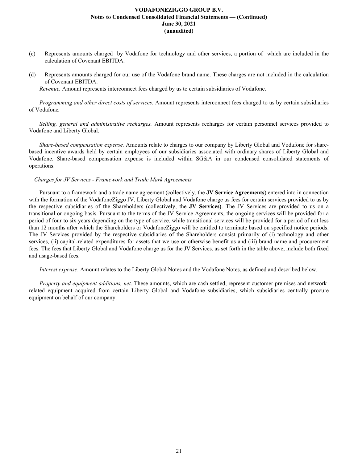- (c) Represents amounts charged by Vodafone for technology and other services, a portion of which are included in the calculation of Covenant EBITDA.
- (d) Represents amounts charged for our use of the Vodafone brand name. These charges are not included in the calculation of Covenant EBITDA.

*Revenue.* Amount represents interconnect fees charged by us to certain subsidiaries of Vodafone.

*Programming and other direct costs of services.* Amount represents interconnect fees charged to us by certain subsidiaries of Vodafone*.*

*Selling, general and administrative recharges.* Amount represents recharges for certain personnel services provided to Vodafone and Liberty Global.

*Share-based compensation expense.* Amounts relate to charges to our company by Liberty Global and Vodafone for sharebased incentive awards held by certain employees of our subsidiaries associated with ordinary shares of Liberty Global and Vodafone. Share-based compensation expense is included within SG&A in our condensed consolidated statements of operations.

### *Charges for JV Services - Framework and Trade Mark Agreements*

Pursuant to a framework and a trade name agreement (collectively, the **JV Service Agreements**) entered into in connection with the formation of the VodafoneZiggo JV, Liberty Global and Vodafone charge us fees for certain services provided to us by the respective subsidiaries of the Shareholders (collectively, the **JV Services)**. The JV Services are provided to us on a transitional or ongoing basis. Pursuant to the terms of the JV Service Agreements, the ongoing services will be provided for a period of four to six years depending on the type of service, while transitional services will be provided for a period of not less than 12 months after which the Shareholders or VodafoneZiggo will be entitled to terminate based on specified notice periods. The JV Services provided by the respective subsidiaries of the Shareholders consist primarily of (i) technology and other services, (ii) capital-related expenditures for assets that we use or otherwise benefit us and (iii) brand name and procurement fees. The fees that Liberty Global and Vodafone charge us for the JV Services, as set forth in the table above, include both fixed and usage-based fees.

*Interest expense*. Amount relates to the Liberty Global Notes and the Vodafone Notes, as defined and described below.

*Property and equipment additions, net.* These amounts, which are cash settled, represent customer premises and networkrelated equipment acquired from certain Liberty Global and Vodafone subsidiaries, which subsidiaries centrally procure equipment on behalf of our company.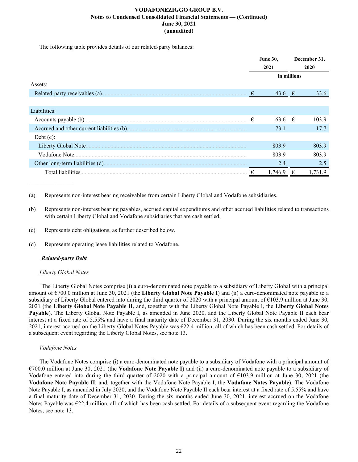The following table provides details of our related-party balances:

|                               |   | <b>June 30,</b> |      | December 31, |
|-------------------------------|---|-----------------|------|--------------|
|                               |   | 2021            | 2020 |              |
|                               |   | in millions     |      |              |
| Assets:                       |   |                 |      |              |
| Related-party receivables (a) | € | 43.6 $\epsilon$ |      | 33.6         |
|                               |   |                 |      |              |
| Liabilities:                  |   |                 |      |              |
| Accounts payable (b)          | € | $63.6$ €        |      | 103.9        |
|                               |   | 73.1            |      | 17.7         |
| Debt $(c)$ :                  |   |                 |      |              |
| Liberty Global Note.          |   | 803.9           |      | 803.9        |
| Vodafone Note                 |   | 803.9           |      | 803.9        |
|                               |   | 2.4             |      | 2.5          |
| Total liabilities.            |   | 1.746.9         | €    | 1.731.9      |

(a) Represents non-interest bearing receivables from certain Liberty Global and Vodafone subsidiaries.

(b) Represents non-interest bearing payables, accrued capital expenditures and other accrued liabilities related to transactions with certain Liberty Global and Vodafone subsidiaries that are cash settled.

- (c) Represents debt obligations, as further described below.
- (d) Represents operating lease liabilities related to Vodafone.

# *Related-party Debt*

### *Liberty Global Notes*

 The Liberty Global Notes comprise (i) a euro-denominated note payable to a subsidiary of Liberty Global with a principal amount of €700.0 million at June 30, 2021 (the **Liberty Global Note Payable I**) and (ii) a euro-denominated note payable to a subsidiary of Liberty Global entered into during the third quarter of 2020 with a principal amount of  $\epsilon$ 103.9 million at June 30, 2021 (the **Liberty Global Note Payable II**, and, together with the Liberty Global Note Payable I, the **Liberty Global Notes Payable**). The Liberty Global Note Payable I, as amended in June 2020, and the Liberty Global Note Payable II each bear interest at a fixed rate of 5.55% and have a final maturity date of December 31, 2030. During the six months ended June 30, 2021, interest accrued on the Liberty Global Notes Payable was €22.4 million, all of which has been cash settled. For details of a subsequent event regarding the Liberty Global Notes, see note 13.

### *Vodafone Notes*

The Vodafone Notes comprise (i) a euro-denominated note payable to a subsidiary of Vodafone with a principal amount of €700.0 million at June 30, 2021 (the **Vodafone Note Payable I**) and (ii) a euro-denominated note payable to a subsidiary of Vodafone entered into during the third quarter of 2020 with a principal amount of  $\epsilon$ 103.9 million at June 30, 2021 (the **Vodafone Note Payable II**, and, together with the Vodafone Note Payable I, the **Vodafone Notes Payable**). The Vodafone Note Payable I, as amended in July 2020, and the Vodafone Note Payable II each bear interest at a fixed rate of 5.55% and have a final maturity date of December 31, 2030. During the six months ended June 30, 2021, interest accrued on the Vodafone Notes Payable was  $E22.4$  million, all of which has been cash settled. For details of a subsequent event regarding the Vodafone Notes, see note 13.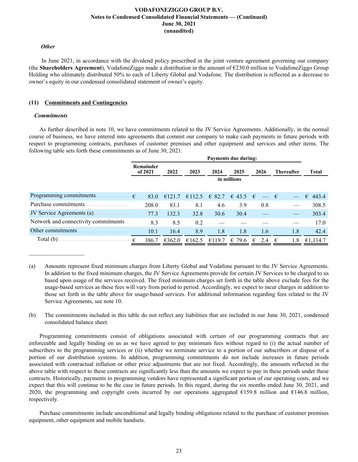#### *Other*

 In June 2021, in accordance with the dividend policy prescribed in the joint venture agreement governing our company (the **Shareholders Agreement**), VodafoneZiggo made a distribution in the amount of €230.0 million to VodafoneZiggo Group Holding who ultimately distributed 50% to each of Liberty Global and Vodafone. The distribution is reflected as a decrease to owner's equity in our condensed consolidated statement of owner's equity.

### **(11) Commitments and Contingencies**

#### *Commitments*

 $\mathcal{L}_\text{max}$  , where  $\mathcal{L}_\text{max}$  and  $\mathcal{L}_\text{max}$ 

As further described in note 10, we have commitments related to the JV Service Agreements. Additionally, in the normal course of business, we have entered into agreements that commit our company to make cash payments in future periods with respect to programming contracts, purchases of customer premises and other equipment and services and other items. The following table sets forth these commitments as of June 30, 2021:

|                                      | Payments due during: |             |        |                        |        |             |                   |                  |  |  |  |
|--------------------------------------|----------------------|-------------|--------|------------------------|--------|-------------|-------------------|------------------|--|--|--|
|                                      | Remainder<br>of 2021 | 2022        | 2023   | 2024                   | 2025   | 2026        | <b>Thereafter</b> | Total            |  |  |  |
|                                      |                      | in millions |        |                        |        |             |                   |                  |  |  |  |
|                                      |                      |             |        |                        |        |             |                   |                  |  |  |  |
| Programming commitments.             | €<br>83.0            | €121.7      |        | €112.5 € 82.7 € 43.5 € |        | $-\epsilon$ |                   | $\epsilon$ 443.4 |  |  |  |
| Purchase commitments.                | 208.0                | 83.1        | 8.1    | 4.6                    | 3.9    | 0.8         |                   | 308.5            |  |  |  |
| JV Service Agreements (a)            | 77.3                 | 132.3       | 32.8   | 30.6                   | 30.4   |             |                   | 303.4            |  |  |  |
| Network and connectivity commitments | 8.3                  | 8.5         | 0.2    |                        |        |             |                   | 17.0             |  |  |  |
| Other commitments                    | 10.1                 | 16.4        | 8.9    | 1.8                    | 1.8    | 1.6         | 1.8               | 42.4             |  |  |  |
| Total (b)                            | 386.7<br>€           | €362.0      | €162.5 | €119.7                 | € 79.6 | €<br>2.4    | €<br>1.8          | €1,114.7         |  |  |  |

<sup>(</sup>a) Amounts represent fixed minimum charges from Liberty Global and Vodafone pursuant to the JV Service Agreements. In addition to the fixed minimum charges, the JV Service Agreements provide for certain JV Services to be charged to us based upon usage of the services received. The fixed minimum charges set forth in the table above exclude fees for the usage-based services as these fees will vary from period to period. Accordingly, we expect to incur charges in addition to those set forth in the table above for usage-based services. For additional information regarding fees related to the JV Service Agreements, see note 10.

(b) The commitments included in this table do not reflect any liabilities that are included in our June 30, 2021, condensed consolidated balance sheet.

Programming commitments consist of obligations associated with certain of our programming contracts that are enforceable and legally binding on us as we have agreed to pay minimum fees without regard to (i) the actual number of subscribers to the programming services or (ii) whether we terminate service to a portion of our subscribers or dispose of a portion of our distribution systems. In addition, programming commitments do not include increases in future periods associated with contractual inflation or other price adjustments that are not fixed. Accordingly, the amounts reflected in the above table with respect to these contracts are significantly less than the amounts we expect to pay in these periods under these contracts. Historically, payments to programming vendors have represented a significant portion of our operating costs, and we expect that this will continue to be the case in future periods. In this regard, during the six months ended June 30, 2021, and 2020, the programming and copyright costs incurred by our operations aggregated  $\epsilon$ 159.8 million and  $\epsilon$ 146.8 million, respectively.

Purchase commitments include unconditional and legally binding obligations related to the purchase of customer premises equipment, other equipment and mobile handsets.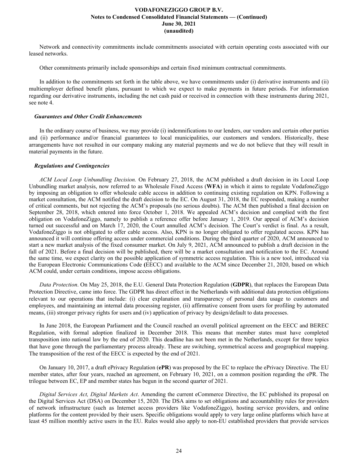Network and connectivity commitments include commitments associated with certain operating costs associated with our leased networks.

Other commitments primarily include sponsorships and certain fixed minimum contractual commitments.

In addition to the commitments set forth in the table above, we have commitments under (i) derivative instruments and (ii) multiemployer defined benefit plans, pursuant to which we expect to make payments in future periods. For information regarding our derivative instruments, including the net cash paid or received in connection with these instruments during 2021, see note 4.

#### *Guarantees and Other Credit Enhancements*

In the ordinary course of business, we may provide (i) indemnifications to our lenders, our vendors and certain other parties and (ii) performance and/or financial guarantees to local municipalities, our customers and vendors. Historically, these arrangements have not resulted in our company making any material payments and we do not believe that they will result in material payments in the future.

#### *Regulations and Contingencies*

*ACM Local Loop Unbundling Decision.* On February 27, 2018, the ACM published a draft decision in its Local Loop Unbundling market analysis, now referred to as Wholesale Fixed Access (**WFA**) in which it aims to regulate VodafoneZiggo by imposing an obligation to offer wholesale cable access in addition to continuing existing regulation on KPN. Following a market consultation, the ACM notified the draft decision to the EC. On August 31, 2018, the EC responded, making a number of critical comments, but not rejecting the ACM's proposals (no serious doubts). The ACM then published a final decision on September 28, 2018, which entered into force October 1, 2018. We appealed ACM's decision and complied with the first obligation on VodafoneZiggo, namely to publish a reference offer before January 1, 2019. Our appeal of ACM's decision turned out successful and on March 17, 2020, the Court annulled ACM's decision. The Court's verdict is final. As a result, VodafoneZiggo is not obligated to offer cable access. Also, KPN is no longer obligated to offer regulated access. KPN has announced it will continue offering access under commercial conditions. During the third quarter of 2020, ACM announced to start a new market analysis of the fixed consumer market. On July 9, 2021, ACM announced to publish a draft decision in the fall of 2021. Before a final decision will be published, there will be a market consultation and notification to the EC. Around the same time, we expect clarity on the possible application of symmetric access regulation. This is a new tool, introduced via the European Electronic Communications Code **(**EECC) and available to the ACM since December 21, 2020, based on which ACM could, under certain conditions, impose access obligations.

*Data Protection*. On May 25, 2018, the E.U. General Data Protection Regulation (**GDPR**), that replaces the European Data Protection Directive, came into force. The GDPR has direct effect in the Netherlands with additional data protection obligations relevant to our operations that include: (i) clear explanation and transparency of personal data usage to customers and employees, and maintaining an internal data processing register, (ii) affirmative consent from users for profiling by automated means, (iii) stronger privacy rights for users and (iv) application of privacy by design/default to data processes.

In June 2018, the European Parliament and the Council reached an overall political agreement on the EECC and BEREC Regulation, with formal adoption finalized in December 2018. This means that member states must have completed transposition into national law by the end of 2020. This deadline has not been met in the Netherlands, except for three topics that have gone through the parliamentary process already. These are switching, symmetrical access and geographical mapping. The transposition of the rest of the EECC is expected by the end of 2021.

On January 10, 2017, a draft ePrivacy Regulation (**ePR**) was proposed by the EC to replace the ePrivacy Directive. The EU member states, after four years, reached an agreement, on February 10, 2021, on a common position regarding the ePR. The trilogue between EC, EP and member states has begun in the second quarter of 2021.

*Digital Services Act, Digital Markets Act*. Amending the current eCommerce Directive, the EC published its proposal on the Digital Services Act (DSA) on December 15, 2020. The DSA aims to set obligations and accountability rules for providers of network infrastructure (such as Internet access providers like VodafoneZiggo), hosting service providers, and online platforms for the content provided by their users. Specific obligations would apply to very large online platforms which have at least 45 million monthly active users in the EU. Rules would also apply to non-EU established providers that provide services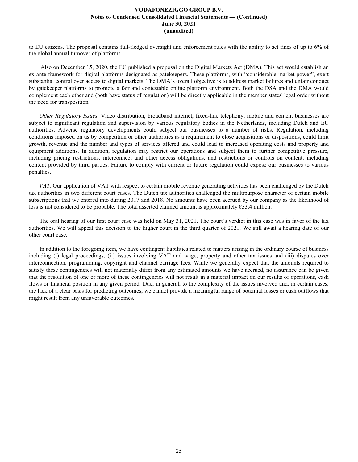to EU citizens. The proposal contains full-fledged oversight and enforcement rules with the ability to set fines of up to 6% of the global annual turnover of platforms.

 Also on December 15, 2020, the EC published a proposal on the Digital Markets Act (DMA). This act would establish an ex ante framework for digital platforms designated as gatekeepers. These platforms, with "considerable market power", exert substantial control over access to digital markets. The DMA's overall objective is to address market failures and unfair conduct by gatekeeper platforms to promote a fair and contestable online platform environment. Both the DSA and the DMA would complement each other and (both have status of regulation) will be directly applicable in the member states' legal order without the need for transposition.

*Other Regulatory Issues.* Video distribution, broadband internet, fixed-line telephony, mobile and content businesses are subject to significant regulation and supervision by various regulatory bodies in the Netherlands, including Dutch and EU authorities. Adverse regulatory developments could subject our businesses to a number of risks. Regulation, including conditions imposed on us by competition or other authorities as a requirement to close acquisitions or dispositions, could limit growth, revenue and the number and types of services offered and could lead to increased operating costs and property and equipment additions. In addition, regulation may restrict our operations and subject them to further competitive pressure, including pricing restrictions, interconnect and other access obligations, and restrictions or controls on content, including content provided by third parties. Failure to comply with current or future regulation could expose our businesses to various penalties.

*VAT.* Our application of VAT with respect to certain mobile revenue generating activities has been challenged by the Dutch tax authorities in two different court cases. The Dutch tax authorities challenged the multipurpose character of certain mobile subscriptions that we entered into during 2017 and 2018. No amounts have been accrued by our company as the likelihood of loss is not considered to be probable. The total asserted claimed amount is approximately  $\epsilon$ 33.4 million.

The oral hearing of our first court case was held on May 31, 2021. The court's verdict in this case was in favor of the tax authorities. We will appeal this decision to the higher court in the third quarter of 2021. We still await a hearing date of our other court case.

In addition to the foregoing item, we have contingent liabilities related to matters arising in the ordinary course of business including (i) legal proceedings, (ii) issues involving VAT and wage, property and other tax issues and (iii) disputes over interconnection, programming, copyright and channel carriage fees. While we generally expect that the amounts required to satisfy these contingencies will not materially differ from any estimated amounts we have accrued, no assurance can be given that the resolution of one or more of these contingencies will not result in a material impact on our results of operations, cash flows or financial position in any given period. Due, in general, to the complexity of the issues involved and, in certain cases, the lack of a clear basis for predicting outcomes, we cannot provide a meaningful range of potential losses or cash outflows that might result from any unfavorable outcomes.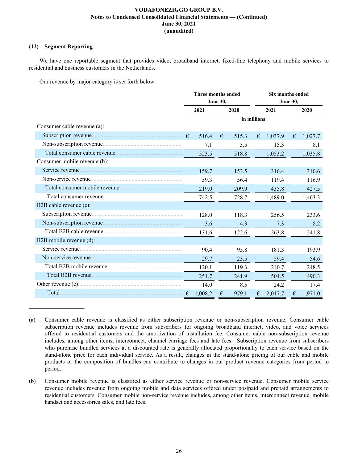# **(12) Segment Reporting**

 $\mathcal{L}_\text{max}$  , where  $\mathcal{L}_\text{max}$  and  $\mathcal{L}_\text{max}$ 

We have one reportable segment that provides video, broadband internet, fixed-line telephony and mobile services to residential and business customers in the Netherlands.

Our revenue by major category is set forth below:

|                              | Three months ended<br><b>June 30,</b> |         |      |             | <b>Six months ended</b><br><b>June 30,</b> |         |   |         |
|------------------------------|---------------------------------------|---------|------|-------------|--------------------------------------------|---------|---|---------|
|                              |                                       | 2021    | 2020 |             | 2021                                       |         |   | 2020    |
|                              |                                       |         |      | in millions |                                            |         |   |         |
| Consumer cable revenue (a):  |                                       |         |      |             |                                            |         |   |         |
|                              |                                       | 516.4   | €    | 515.3       | €                                          | 1,037.9 | € | 1,027.7 |
|                              |                                       | 7.1     |      | 3.5         |                                            | 15.3    |   | 8.1     |
|                              |                                       | 523.5   |      | 518.8       |                                            | 1,053.2 |   | 1,035.8 |
| Consumer mobile revenue (b): |                                       |         |      |             |                                            |         |   |         |
| Service revenue              |                                       | 159.7   |      | 153.5       |                                            | 316.4   |   | 310.6   |
|                              |                                       | 59.3    |      | 56.4        |                                            | 119.4   |   | 116.9   |
|                              |                                       | 219.0   |      | 209.9       |                                            | 435.8   |   | 427.5   |
| Total consumer revenue       |                                       | 742.5   |      | 728.7       |                                            | 1,489.0 |   | 1,463.3 |
| B2B cable revenue (c):       |                                       |         |      |             |                                            |         |   |         |
|                              |                                       | 128.0   |      | 118.3       |                                            | 256.5   |   | 233.6   |
|                              |                                       | 3.6     |      | 4.3         |                                            | 7.3     |   | 8.2     |
| Total B2B cable revenue      |                                       | 131.6   |      | 122.6       |                                            | 263.8   |   | 241.8   |
| B2B mobile revenue (d):      |                                       |         |      |             |                                            |         |   |         |
|                              |                                       | 90.4    |      | 95.8        |                                            | 181.3   |   | 193.9   |
|                              |                                       | 29.7    |      | 23.5        |                                            | 59.4    |   | 54.6    |
|                              |                                       | 120.1   |      | 119.3       |                                            | 240.7   |   | 248.5   |
|                              |                                       | 251.7   |      | 241.9       |                                            | 504.5   |   | 490.3   |
|                              |                                       | 14.0    |      | 8.5         |                                            | 24.2    |   | 17.4    |
| Total.                       | €                                     | 1,008.2 | €    | 979.1       | €                                          | 2,017.7 | € | 1,971.0 |

<sup>(</sup>a) Consumer cable revenue is classified as either subscription revenue or non-subscription revenue. Consumer cable subscription revenue includes revenue from subscribers for ongoing broadband internet, video, and voice services offered to residential customers and the amortization of installation fee. Consumer cable non-subscription revenue includes, among other items, interconnect, channel carriage fees and late fees. Subscription revenue from subscribers who purchase bundled services at a discounted rate is generally allocated proportionally to each service based on the stand-alone price for each individual service. As a result, changes in the stand-alone pricing of our cable and mobile products or the composition of bundles can contribute to changes in our product revenue categories from period to period.

<sup>(</sup>b) Consumer mobile revenue is classified as either service revenue or non-service revenue. Consumer mobile service revenue includes revenue from ongoing mobile and data services offered under postpaid and prepaid arrangements to residential customers. Consumer mobile non-service revenue includes, among other items, interconnect revenue, mobile handset and accessories sales, and late fees.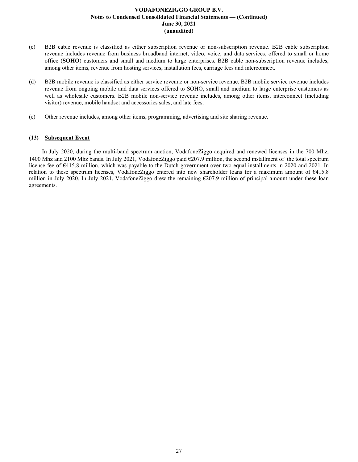- (c) B2B cable revenue is classified as either subscription revenue or non-subscription revenue. B2B cable subscription revenue includes revenue from business broadband internet, video, voice, and data services, offered to small or home office (**SOHO**) customers and small and medium to large enterprises. B2B cable non-subscription revenue includes, among other items, revenue from hosting services, installation fees, carriage fees and interconnect.
- (d) B2B mobile revenue is classified as either service revenue or non-service revenue. B2B mobile service revenue includes revenue from ongoing mobile and data services offered to SOHO, small and medium to large enterprise customers as well as wholesale customers. B2B mobile non-service revenue includes, among other items, interconnect (including visitor) revenue, mobile handset and accessories sales, and late fees.
- (e) Other revenue includes, among other items, programming, advertising and site sharing revenue.

# **(13) Subsequent Event**

In July 2020, during the multi-band spectrum auction, VodafoneZiggo acquired and renewed licenses in the 700 Mhz, 1400 Mhz and 2100 Mhz bands. In July 2021, VodafoneZiggo paid €207.9 million, the second installment of the total spectrum license fee of €415.8 million, which was payable to the Dutch government over two equal installments in 2020 and 2021. In relation to these spectrum licenses, VodafoneZiggo entered into new shareholder loans for a maximum amount of €415.8 million in July 2020. In July 2021, VodafoneZiggo drew the remaining €207.9 million of principal amount under these loan agreements.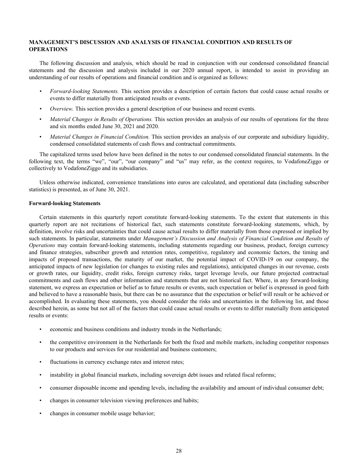# <span id="page-28-0"></span>**MANAGEMENT'S DISCUSSION AND ANALYSIS OF FINANCIAL CONDITION AND RESULTS OF OPERATIONS**

The following discussion and analysis, which should be read in conjunction with our condensed consolidated financial statements and the discussion and analysis included in our 2020 annual report, is intended to assist in providing an understanding of our results of operations and financial condition and is organized as follows:

- *• Forward-looking Statements.* This section provides a description of certain factors that could cause actual results or events to differ materially from anticipated results or events.
- *• Overview.* This section provides a general description of our business and recent events.
- *Material Changes in Results of Operations.* This section provides an analysis of our results of operations for the three and six months ended June 30, 2021 and 2020.
- *Material Changes in Financial Condition.* This section provides an analysis of our corporate and subsidiary liquidity, condensed consolidated statements of cash flows and contractual commitments.

The capitalized terms used below have been defined in the notes to our condensed consolidated financial statements. In the following text, the terms "we", "our", "our company" and "us" may refer, as the context requires, to VodafoneZiggo or collectively to VodafoneZiggo and its subsidiaries.

Unless otherwise indicated, convenience translations into euros are calculated, and operational data (including subscriber statistics) is presented, as of June 30, 2021.

### **Forward-looking Statements**

Certain statements in this quarterly report constitute forward-looking statements. To the extent that statements in this quarterly report are not recitations of historical fact, such statements constitute forward-looking statements, which, by definition, involve risks and uncertainties that could cause actual results to differ materially from those expressed or implied by such statements. In particular, statements under *Management's Discussion and Analysis of Financial Condition and Results of Operations* may contain forward-looking statements, including statements regarding our business, product, foreign currency and finance strategies, subscriber growth and retention rates, competitive, regulatory and economic factors, the timing and impacts of proposed transactions, the maturity of our market, the potential impact of COVID-19 on our company, the anticipated impacts of new legislation (or changes to existing rules and regulations), anticipated changes in our revenue, costs or growth rates, our liquidity, credit risks, foreign currency risks, target leverage levels, our future projected contractual commitments and cash flows and other information and statements that are not historical fact. Where, in any forward-looking statement, we express an expectation or belief as to future results or events, such expectation or belief is expressed in good faith and believed to have a reasonable basis, but there can be no assurance that the expectation or belief will result or be achieved or accomplished. In evaluating these statements, you should consider the risks and uncertainties in the following list, and those described herein, as some but not all of the factors that could cause actual results or events to differ materially from anticipated results or events:

- economic and business conditions and industry trends in the Netherlands;
- the competitive environment in the Netherlands for both the fixed and mobile markets, including competitor responses to our products and services for our residential and business customers;
- fluctuations in currency exchange rates and interest rates;
- instability in global financial markets, including sovereign debt issues and related fiscal reforms;
- consumer disposable income and spending levels, including the availability and amount of individual consumer debt;
- changes in consumer television viewing preferences and habits;
- changes in consumer mobile usage behavior;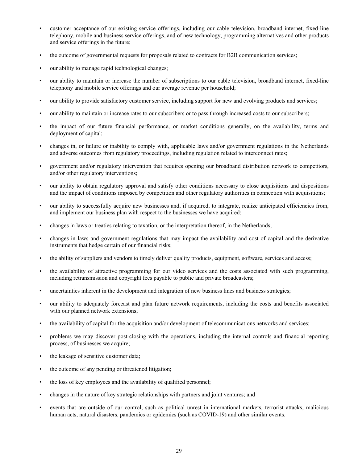- customer acceptance of our existing service offerings, including our cable television, broadband internet, fixed-line telephony, mobile and business service offerings, and of new technology, programming alternatives and other products and service offerings in the future;
- the outcome of governmental requests for proposals related to contracts for B2B communication services;
- our ability to manage rapid technological changes;
- our ability to maintain or increase the number of subscriptions to our cable television, broadband internet, fixed-line telephony and mobile service offerings and our average revenue per household;
- our ability to provide satisfactory customer service, including support for new and evolving products and services;
- our ability to maintain or increase rates to our subscribers or to pass through increased costs to our subscribers;
- the impact of our future financial performance, or market conditions generally, on the availability, terms and deployment of capital;
- changes in, or failure or inability to comply with, applicable laws and/or government regulations in the Netherlands and adverse outcomes from regulatory proceedings, including regulation related to interconnect rates;
- government and/or regulatory intervention that requires opening our broadband distribution network to competitors, and/or other regulatory interventions;
- our ability to obtain regulatory approval and satisfy other conditions necessary to close acquisitions and dispositions and the impact of conditions imposed by competition and other regulatory authorities in connection with acquisitions;
- our ability to successfully acquire new businesses and, if acquired, to integrate, realize anticipated efficiencies from, and implement our business plan with respect to the businesses we have acquired;
- changes in laws or treaties relating to taxation, or the interpretation thereof, in the Netherlands;
- changes in laws and government regulations that may impact the availability and cost of capital and the derivative instruments that hedge certain of our financial risks;
- the ability of suppliers and vendors to timely deliver quality products, equipment, software, services and access;
- the availability of attractive programming for our video services and the costs associated with such programming, including retransmission and copyright fees payable to public and private broadcasters;
- uncertainties inherent in the development and integration of new business lines and business strategies;
- our ability to adequately forecast and plan future network requirements, including the costs and benefits associated with our planned network extensions;
- the availability of capital for the acquisition and/or development of telecommunications networks and services;
- problems we may discover post-closing with the operations, including the internal controls and financial reporting process, of businesses we acquire;
- the leakage of sensitive customer data;
- the outcome of any pending or threatened litigation;
- the loss of key employees and the availability of qualified personnel;
- changes in the nature of key strategic relationships with partners and joint ventures; and
- events that are outside of our control, such as political unrest in international markets, terrorist attacks, malicious human acts, natural disasters, pandemics or epidemics (such as COVID-19) and other similar events.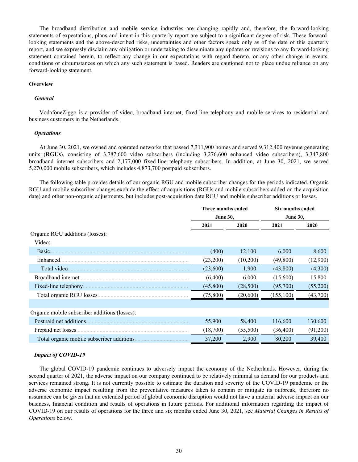The broadband distribution and mobile service industries are changing rapidly and, therefore, the forward-looking statements of expectations, plans and intent in this quarterly report are subject to a significant degree of risk. These forwardlooking statements and the above-described risks, uncertainties and other factors speak only as of the date of this quarterly report, and we expressly disclaim any obligation or undertaking to disseminate any updates or revisions to any forward-looking statement contained herein, to reflect any change in our expectations with regard thereto, or any other change in events, conditions or circumstances on which any such statement is based. Readers are cautioned not to place undue reliance on any forward-looking statement.

#### **Overview**

#### *General*

VodafoneZiggo is a provider of video, broadband internet, fixed-line telephony and mobile services to residential and business customers in the Netherlands.

#### *Operations*

At June 30, 2021, we owned and operated networks that passed 7,311,900 homes and served 9,312,400 revenue generating units (**RGUs**), consisting of 3,787,600 video subscribers (including 3,276,600 enhanced video subscribers), 3,347,800 broadband internet subscribers and 2,177,000 fixed-line telephony subscribers. In addition, at June 30, 2021, we served 5,270,000 mobile subscribers, which includes 4,873,700 postpaid subscribers.

The following table provides details of our organic RGU and mobile subscriber changes for the periods indicated. Organic RGU and mobile subscriber changes exclude the effect of acquisitions (RGUs and mobile subscribers added on the acquisition date) and other non-organic adjustments, but includes post-acquisition date RGU and mobile subscriber additions or losses.

|                                               | Three months ended |           | Six months ended |          |
|-----------------------------------------------|--------------------|-----------|------------------|----------|
|                                               | <b>June 30,</b>    |           | <b>June 30,</b>  |          |
|                                               | 2020<br>2021       |           | 2021             | 2020     |
| Organic RGU additions (losses):               |                    |           |                  |          |
| Video:                                        |                    |           |                  |          |
| Basic.                                        | (400)              | 12,100    | 6,000            | 8,600    |
| Enhanced.                                     | (23,200)           | (10,200)  | (49, 800)        | (12,900) |
| Total video.                                  | (23,600)           | 1,900     | (43,800)         | (4,300)  |
| Broadband internet.                           | (6,400)            | 6,000     | (15,600)         | 15,800   |
| Fixed-line telephony.                         | (45,800)           | (28, 500) | (95,700)         | (55,200) |
|                                               | (75,800)           | (20, 600) | (155, 100)       | (43,700) |
|                                               |                    |           |                  |          |
| Organic mobile subscriber additions (losses): |                    |           |                  |          |
| Postpaid net additions.                       | 55,900             | 58,400    | 116,600          | 130,600  |
| Prepaid net losses.                           | (18,700)           | (55,500)  | (36, 400)        | (91,200) |
| Total organic mobile subscriber additions.    | 37,200             | 2,900     | 80,200           | 39,400   |

#### *Impact of COVID-19*

The global COVID-19 pandemic continues to adversely impact the economy of the Netherlands. However, during the second quarter of 2021, the adverse impact on our company continued to be relatively minimal as demand for our products and services remained strong. It is not currently possible to estimate the duration and severity of the COVID-19 pandemic or the adverse economic impact resulting from the preventative measures taken to contain or mitigate its outbreak, therefore no assurance can be given that an extended period of global economic disruption would not have a material adverse impact on our business, financial condition and results of operations in future periods. For additional information regarding the impact of COVID-19 on our results of operations for the three and six months ended June 30, 2021, see *Material Changes in Results of Operations* below.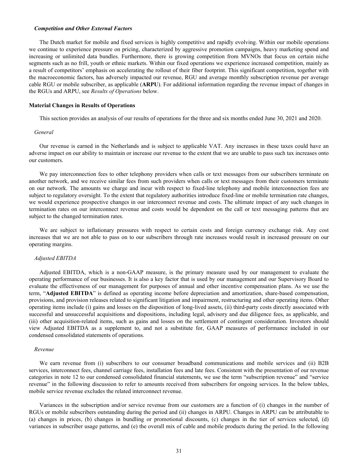#### *Competition and Other External Factors*

The Dutch market for mobile and fixed services is highly competitive and rapidly evolving. Within our mobile operations we continue to experience pressure on pricing, characterized by aggressive promotion campaigns, heavy marketing spend and increasing or unlimited data bundles. Furthermore, there is growing competition from MVNOs that focus on certain niche segments such as no frill, youth or ethnic markets. Within our fixed operations we experience increased competition, mainly as a result of competitors' emphasis on accelerating the rollout of their fiber footprint. This significant competition, together with the macroeconomic factors, has adversely impacted our revenue, RGU and average monthly subscription revenue per average cable RGU or mobile subscriber, as applicable (**ARPU**). For additional information regarding the revenue impact of changes in the RGUs and ARPU, see *Results of Operations* below.

#### **Material Changes in Results of Operations**

This section provides an analysis of our results of operations for the three and six months ended June 30, 2021 and 2020.

#### *General*

Our revenue is earned in the Netherlands and is subject to applicable VAT. Any increases in these taxes could have an adverse impact on our ability to maintain or increase our revenue to the extent that we are unable to pass such tax increases onto our customers.

We pay interconnection fees to other telephony providers when calls or text messages from our subscribers terminate on another network, and we receive similar fees from such providers when calls or text messages from their customers terminate on our network. The amounts we charge and incur with respect to fixed-line telephony and mobile interconnection fees are subject to regulatory oversight. To the extent that regulatory authorities introduce fixed-line or mobile termination rate changes, we would experience prospective changes in our interconnect revenue and costs. The ultimate impact of any such changes in termination rates on our interconnect revenue and costs would be dependent on the call or text messaging patterns that are subject to the changed termination rates.

We are subject to inflationary pressures with respect to certain costs and foreign currency exchange risk. Any cost increases that we are not able to pass on to our subscribers through rate increases would result in increased pressure on our operating margins.

#### *Adjusted EBITDA*

Adjusted EBITDA, which is a non-GAAP measure, is the primary measure used by our management to evaluate the operating performance of our businesses. It is also a key factor that is used by our management and our Supervisory Board to evaluate the effectiveness of our management for purposes of annual and other incentive compensation plans. As we use the term, "**Adjusted EBITDA**" is defined as operating income before depreciation and amortization, share-based compensation, provisions, and provision releases related to significant litigation and impairment, restructuring and other operating items. Other operating items include (i) gains and losses on the disposition of long-lived assets, (ii) third-party costs directly associated with successful and unsuccessful acquisitions and dispositions, including legal, advisory and due diligence fees, as applicable, and (iii) other acquisition-related items, such as gains and losses on the settlement of contingent consideration. Investors should view Adjusted EBITDA as a supplement to, and not a substitute for, GAAP measures of performance included in our condensed consolidated statements of operations.

#### *Revenue*

We earn revenue from (i) subscribers to our consumer broadband communications and mobile services and (ii) B2B services, interconnect fees, channel carriage fees, installation fees and late fees. Consistent with the presentation of our revenue categories in note 12 to our condensed consolidated financial statements, we use the term "subscription revenue" and "service revenue" in the following discussion to refer to amounts received from subscribers for ongoing services. In the below tables, mobile service revenue excludes the related interconnect revenue.

Variances in the subscription and/or service revenue from our customers are a function of (i) changes in the number of RGUs or mobile subscribers outstanding during the period and (ii) changes in ARPU. Changes in ARPU can be attributable to (a) changes in prices, (b) changes in bundling or promotional discounts, (c) changes in the tier of services selected, (d) variances in subscriber usage patterns, and (e) the overall mix of cable and mobile products during the period. In the following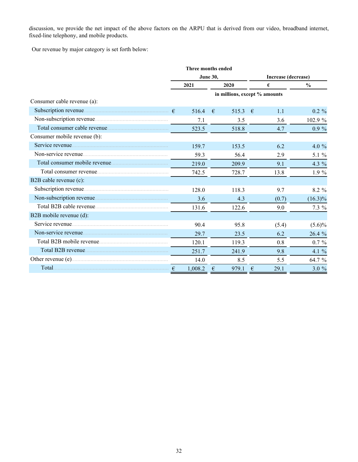discussion, we provide the net impact of the above factors on the ARPU that is derived from our video, broadband internet, fixed-line telephony, and mobile products.

Our revenue by major category is set forth below:

|                              |         | Three months ended               |                               |               |  |  |
|------------------------------|---------|----------------------------------|-------------------------------|---------------|--|--|
|                              |         | <b>June 30,</b>                  | Increase (decrease)           |               |  |  |
|                              | 2021    | 2020                             | €                             | $\frac{0}{0}$ |  |  |
|                              |         |                                  | in millions, except % amounts |               |  |  |
| Consumer cable revenue (a):  |         |                                  |                               |               |  |  |
|                              | 516.4   | 515.3<br>€                       | $\epsilon$<br>1.1             | $0.2 \%$      |  |  |
|                              | 7.1     | 3.5                              | 3.6                           | 102.9 %       |  |  |
|                              | 523.5   | 518.8                            | 4.7                           | $0.9 \%$      |  |  |
| Consumer mobile revenue (b): |         |                                  |                               |               |  |  |
|                              | 159.7   | 153.5                            | 6.2                           | 4.0 $%$       |  |  |
|                              | 59.3    | 56.4                             | 2.9                           | 5.1 $%$       |  |  |
|                              | 219.0   | 209.9                            | 9.1                           | 4.3 $%$       |  |  |
|                              | 742.5   | 728.7                            | 13.8                          | $1.9\%$       |  |  |
| B2B cable revenue (c):       |         |                                  |                               |               |  |  |
|                              | 128.0   | 118.3                            | 9.7                           | 8.2 %         |  |  |
|                              | 3.6     | 4.3                              | (0.7)                         | $(16.3)\%$    |  |  |
|                              | 131.6   | 122.6                            | 9.0                           | $7.3\%$       |  |  |
| B2B mobile revenue (d):      |         |                                  |                               |               |  |  |
|                              | 90.4    | 95.8                             | (5.4)                         | $(5.6)\%$     |  |  |
| Non-service revenue          | 29.7    | 23.5                             | 6.2                           | 26.4 %        |  |  |
|                              | 120.1   | 119.3                            | 0.8                           | $0.7 \%$      |  |  |
|                              | 251.7   | 241.9                            | 9.8                           | 4.1 $%$       |  |  |
|                              | 14.0    | 8.5                              | 5.5                           | 64.7 %        |  |  |
| Total                        | 1,008.2 | $\boldsymbol{\epsilon}$<br>979.1 | 29.1<br>€                     | 3.0%          |  |  |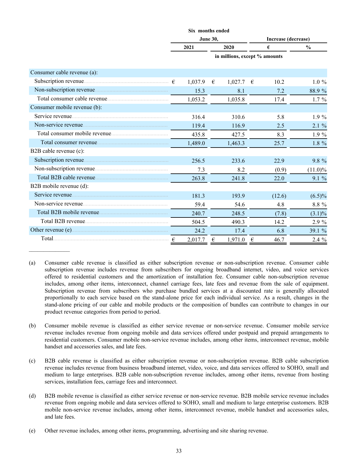|                              |                                        | Six months ended |   |                               |   |        |               |
|------------------------------|----------------------------------------|------------------|---|-------------------------------|---|--------|---------------|
|                              | <b>June 30,</b><br>Increase (decrease) |                  |   |                               |   |        |               |
|                              |                                        | 2021             |   | 2020                          |   | €      | $\frac{0}{0}$ |
|                              |                                        |                  |   | in millions, except % amounts |   |        |               |
| Consumer cable revenue (a):  |                                        |                  |   |                               |   |        |               |
|                              |                                        | 1,037.9          | € | 1,027.7                       | € | 10.2   | $1.0 \%$      |
|                              |                                        | 15.3             |   | 8.1                           |   | 7.2    | 88.9%         |
|                              |                                        | 1,053.2          |   | 1,035.8                       |   | 17.4   | $1.7\%$       |
| Consumer mobile revenue (b): |                                        |                  |   |                               |   |        |               |
| Service revenue              |                                        | 316.4            |   | 310.6                         |   | 5.8    | $1.9\%$       |
|                              |                                        | 119.4            |   | 116.9                         |   | 2.5    | 2.1%          |
|                              |                                        | 435.8            |   | 427.5                         |   | 8.3    | $1.9\%$       |
|                              |                                        | 1,489.0          |   | 1,463.3                       |   | 25.7   | 1.8 %         |
| B2B cable revenue (c):       |                                        |                  |   |                               |   |        |               |
|                              |                                        | 256.5            |   | 233.6                         |   | 22.9   | 9.8 %         |
|                              |                                        | 7.3              |   | 8.2                           |   | (0.9)  | $(11.0)\%$    |
|                              |                                        | 263.8            |   | 241.8                         |   | 22.0   | 9.1%          |
| B2B mobile revenue (d):      |                                        |                  |   |                               |   |        |               |
|                              |                                        | 181.3            |   | 193.9                         |   | (12.6) | $(6.5)\%$     |
| Non-service revenue          |                                        | 59.4             |   | 54.6                          |   | 4.8    | 8.8 %         |
|                              |                                        | 240.7            |   | 248.5                         |   | (7.8)  | $(3.1)\%$     |
|                              |                                        | 504.5            |   | 490.3                         |   | 14.2   | 2.9 %         |
|                              |                                        | 24.2             |   | 17.4                          |   | 6.8    | 39.1 %        |
|                              |                                        | 2,017.7          | € | 1,971.0                       | € | 46.7   | 2.4 %         |

<sup>(</sup>a) Consumer cable revenue is classified as either subscription revenue or non-subscription revenue. Consumer cable subscription revenue includes revenue from subscribers for ongoing broadband internet, video, and voice services offered to residential customers and the amortization of installation fee. Consumer cable non-subscription revenue includes, among other items, interconnect, channel carriage fees, late fees and revenue from the sale of equipment. Subscription revenue from subscribers who purchase bundled services at a discounted rate is generally allocated proportionally to each service based on the stand-alone price for each individual service. As a result, changes in the stand-alone pricing of our cable and mobile products or the composition of bundles can contribute to changes in our product revenue categories from period to period.

- (c) B2B cable revenue is classified as either subscription revenue or non-subscription revenue. B2B cable subscription revenue includes revenue from business broadband internet, video, voice, and data services offered to SOHO, small and medium to large enterprises. B2B cable non-subscription revenue includes, among other items, revenue from hosting services, installation fees, carriage fees and interconnect.
- (d) B2B mobile revenue is classified as either service revenue or non-service revenue. B2B mobile service revenue includes revenue from ongoing mobile and data services offered to SOHO, small and medium to large enterprise customers. B2B mobile non-service revenue includes, among other items, interconnect revenue, mobile handset and accessories sales, and late fees.
- (e) Other revenue includes, among other items, programming, advertising and site sharing revenue.

 $\frac{1}{2}$ 

<sup>(</sup>b) Consumer mobile revenue is classified as either service revenue or non-service revenue. Consumer mobile service revenue includes revenue from ongoing mobile and data services offered under postpaid and prepaid arrangements to residential customers. Consumer mobile non-service revenue includes, among other items, interconnect revenue, mobile handset and accessories sales, and late fees.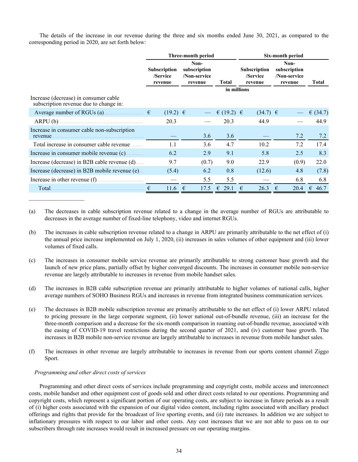The details of the increase in our revenue during the three and six months ended June 30, 2021, as compared to the corresponding period in 2020, are set forth below:

|                                                        |                                            | Three-month period                              |              | Six-month period                                          |                                                 |            |  |  |  |  |
|--------------------------------------------------------|--------------------------------------------|-------------------------------------------------|--------------|-----------------------------------------------------------|-------------------------------------------------|------------|--|--|--|--|
| Increase (decrease) in consumer cable                  | <b>Subscription</b><br>/Service<br>revenue | Non-<br>subscription<br>/Non-service<br>revenue | Total        | <b>Subscription</b><br>/Service<br>revenue<br>in millions | Non-<br>subscription<br>/Non-service<br>revenue | Total      |  |  |  |  |
| subscription revenue due to change in:                 |                                            |                                                 |              |                                                           |                                                 |            |  |  |  |  |
| Average number of RGUs (a) $\epsilon$                  | $(19.2) \in$                               |                                                 | € (19.2) $∈$ | $(34.7) \in$                                              |                                                 | € $(34.7)$ |  |  |  |  |
|                                                        | 20.3                                       |                                                 | 20.3         | 44.9                                                      |                                                 | 44.9       |  |  |  |  |
| Increase in consumer cable non-subscription<br>revenue |                                            | 3.6                                             | 3.6          |                                                           | 7.2                                             | 7.2        |  |  |  |  |
| Total increase in consumer cable revenue               | 1.1                                        | 3.6                                             | 4.7          | 10.2                                                      | 7.2                                             | 17.4       |  |  |  |  |
| Increase in consumer mobile revenue (c)                | 6.2                                        | 2.9                                             | 9.1          | 5.8                                                       | 2.5                                             | 8.3        |  |  |  |  |
| Increase (decrease) in B2B cable revenue (d)           | 9.7                                        | (0.7)                                           | 9.0          | 22.9                                                      | (0.9)                                           | 22.0       |  |  |  |  |
| Increase (decrease) in B2B mobile revenue (e)          | (5.4)                                      | 6.2                                             | 0.8          | (12.6)                                                    | 4.8                                             | (7.8)      |  |  |  |  |
| Increase in other revenue (f)                          |                                            | 5.5                                             | 5.5          |                                                           | 6.8                                             | 6.8        |  |  |  |  |
| Total.                                                 | 11.6                                       | 17.5<br>€                                       | 29.1<br>€    | 26.3<br>€                                                 | 20.4<br>€                                       | €<br>46.7  |  |  |  |  |

- (a) The decreases in cable subscription revenue related to a change in the average number of RGUs are attributable to decreases in the average number of fixed-line telephony, video and internet RGUs.
- (b) The increases in cable subscription revenue related to a change in ARPU are primarily attributable to the net effect of (i) the annual price increase implemented on July 1, 2020, (ii) increases in sales volumes of other equipment and (iii) lower volumes of fixed calls.
- (c) The increases in consumer mobile service revenue are primarily attributable to strong customer base growth and the launch of new price plans, partially offset by higher converged discounts. The increases in consumer mobile non-service revenue are largely attributable to increases in revenue from mobile handset sales.
- (d) The increases in B2B cable subscription revenue are primarily attributable to higher volumes of national calls, higher average numbers of SOHO Business RGUs and increases in revenue from integrated business communication services.
- (e) The decreases in B2B mobile subscription revenue are primarily attributable to the net effect of (i) lower ARPU related to pricing pressure in the large corporate segment, (ii) lower national out-of-bundle revenue, (iii) an increase for the three-month comparison and a decrease for the six-month comparison in roaming out-of-bundle revenue, associated with the easing of COVID-19 travel restrictions during the second quarter of 2021, and (iv) customer base growth. The increases in B2B mobile non-service revenue are largely attributable to increases in revenue from mobile handset sales.
- (f) The increases in other revenue are largely attributable to increases in revenue from our sports content channel Ziggo Sport.

### *Programming and other direct costs of services*

Programming and other direct costs of services include programming and copyright costs, mobile access and interconnect costs, mobile handset and other equipment cost of goods sold and other direct costs related to our operations. Programming and copyright costs, which represent a significant portion of our operating costs, are subject to increase in future periods as a result of (i) higher costs associated with the expansion of our digital video content, including rights associated with ancillary product offerings and rights that provide for the broadcast of live sporting events, and (ii) rate increases. In addition we are subject to inflationary pressures with respect to our labor and other costs. Any cost increases that we are not able to pass on to our subscribers through rate increases would result in increased pressure on our operating margins.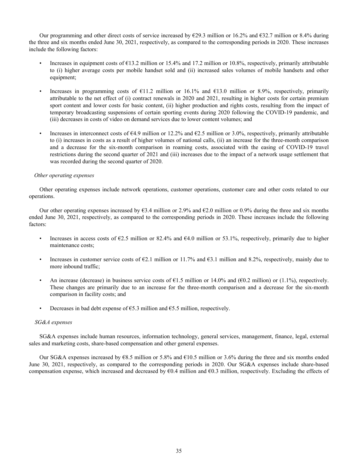Our programming and other direct costs of service increased by  $\epsilon$ 29.3 million or 16.2% and  $\epsilon$ 32.7 million or 8.4% during the three and six months ended June 30, 2021, respectively, as compared to the corresponding periods in 2020. These increases include the following factors:

- Increases in equipment costs of  $\epsilon$ 13.2 million or 15.4% and 17.2 million or 10.8%, respectively, primarily attributable to (i) higher average costs per mobile handset sold and (ii) increased sales volumes of mobile handsets and other equipment;
- Increases in programming costs of €11.2 million or 16.1% and €13.0 million or 8.9%, respectively, primarily attributable to the net effect of (i) contract renewals in 2020 and 2021, resulting in higher costs for certain premium sport content and lower costs for basic content, (ii) higher production and rights costs, resulting from the impact of temporary broadcasting suspensions of certain sporting events during 2020 following the COVID-19 pandemic, and (iii) decreases in costs of video on demand services due to lower content volumes; and
- Increases in interconnect costs of  $64.9$  million or 12.2% and  $62.5$  million or 3.0%, respectively, primarily attributable to (i) increases in costs as a result of higher volumes of national calls, (ii) an increase for the three-month comparison and a decrease for the six-month comparison in roaming costs, associated with the easing of COVID-19 travel restrictions during the second quarter of 2021 and (iii) increases due to the impact of a network usage settlement that was recorded during the second quarter of 2020.

### *Other operating expenses*

Other operating expenses include network operations, customer operations, customer care and other costs related to our operations.

Our other operating expenses increased by  $63.4$  million or  $2.9\%$  and  $62.0$  million or 0.9% during the three and six months ended June 30, 2021, respectively, as compared to the corresponding periods in 2020. These increases include the following factors:

- Increases in access costs of  $\epsilon$ 2.5 million or 82.4% and  $\epsilon$ 4.0 million or 53.1%, respectively, primarily due to higher maintenance costs;
- Increases in customer service costs of  $E2.1$  million or 11.7% and  $E3.1$  million and 8.2%, respectively, mainly due to more inbound traffic;
- An increase (decrease) in business service costs of  $\epsilon$ 1.5 million or 14.0% and ( $\epsilon$ 0.2 million) or (1.1%), respectively. These changes are primarily due to an increase for the three-month comparison and a decrease for the six-month comparison in facility costs; and
- Decreases in bad debt expense of  $\epsilon$ 5.3 million and  $\epsilon$ 5.5 million, respectively.

### *SG&A expenses*

SG&A expenses include human resources, information technology, general services, management, finance, legal, external sales and marketing costs, share-based compensation and other general expenses.

Our SG&A expenses increased by  $68.5$  million or 5.8% and  $610.5$  million or 3.6% during the three and six months ended June 30, 2021, respectively, as compared to the corresponding periods in 2020. Our SG&A expenses include share-based compensation expense, which increased and decreased by  $60.4$  million and  $60.3$  million, respectively. Excluding the effects of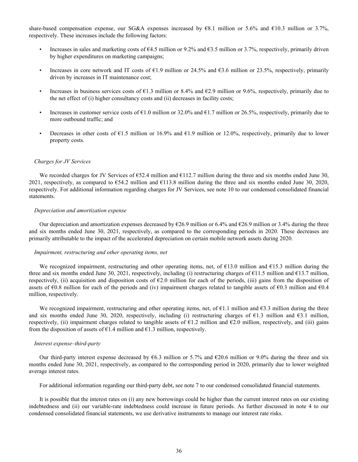share-based compensation expense, our SG&A expenses increased by €8.1 million or 5.6% and €10.3 million or 3.7%, respectively. These increases include the following factors:

- Increases in sales and marketing costs of  $64.5$  million or 9.2% and  $63.5$  million or 3.7%, respectively, primarily driven by higher expenditures on marketing campaigns;
- Increases in core network and IT costs of  $E1.9$  million or 24.5% and  $E3.6$  million or 23.5%, respectively, primarily driven by increases in IT maintenance cost;
- Increases in business services costs of  $\epsilon$ 1.3 million or 8.4% and  $\epsilon$ 2.9 million or 9.6%, respectively, primarily due to the net effect of (i) higher consultancy costs and (ii) decreases in facility costs;
- Increases in customer service costs of  $\epsilon$ 1.0 million or 32.0% and  $\epsilon$ 1.7 million or 26.5%, respectively, primarily due to more outbound traffic; and
- Decreases in other costs of  $\epsilon$ 1.5 million or 16.9% and  $\epsilon$ 1.9 million or 12.0%, respectively, primarily due to lower property costs.

#### *Charges for JV Services*

We recorded charges for JV Services of  $\epsilon$ 52.4 million and  $\epsilon$ 112.7 million during the three and six months ended June 30, 2021, respectively, as compared to  $\epsilon$ 54.2 million and  $\epsilon$ 113.8 million during the three and six months ended June 30, 2020, respectively. For additional information regarding charges for JV Services, see note 10 to our condensed consolidated financial statements.

#### *Depreciation and amortization expense*

Our depreciation and amortization expenses decreased by  $\epsilon$ 26.9 million or 6.4% and  $\epsilon$ 26.9 million or 3.4% during the three and six months ended June 30, 2021, respectively, as compared to the corresponding periods in 2020. These decreases are primarily attributable to the impact of the accelerated depreciation on certain mobile network assets during 2020.

#### *Impairment, restructuring and other operating items, net*

We recognized impairment, restructuring and other operating items, net, of  $\epsilon$ 13.0 million and  $\epsilon$ 15.3 million during the three and six months ended June 30, 2021, respectively, including (i) restructuring charges of  $\epsilon$ 11.5 million and  $\epsilon$ 13.7 million, respectively, (ii) acquisition and disposition costs of  $\epsilon$ 2.0 million for each of the periods, (iii) gains from the disposition of assets of  $\epsilon$ 0.8 million for each of the periods and (iv) impairment charges related to tangible assets of  $\epsilon$ 0.3 million and  $\epsilon$ 0.4 million, respectively.

We recognized impairment, restructuring and other operating items, net, of  $\epsilon$ 1.1 million and  $\epsilon$ 3.3 million during the three and six months ended June 30, 2020, respectively, including (i) restructuring charges of  $\epsilon$ 1.3 million and  $\epsilon$ 3.1 million, respectively, (ii) impairment charges related to tangible assets of  $\epsilon$ 1.2 million and  $\epsilon$ 2.0 million, respectively, and (iii) gains from the disposition of assets of  $\epsilon$ 1.4 million and  $\epsilon$ 1.3 million, respectively.

#### *Interest expense–third-party*

Our third-party interest expense decreased by  $6.3$  million or 5.7% and  $620.6$  million or 9.0% during the three and six months ended June 30, 2021, respectively, as compared to the corresponding period in 2020, primarily due to lower weighted average interest rates.

For additional information regarding our third-party debt, see note 7 to our condensed consolidated financial statements.

It is possible that the interest rates on (i) any new borrowings could be higher than the current interest rates on our existing indebtedness and (ii) our variable-rate indebtedness could increase in future periods. As further discussed in note 4 to our condensed consolidated financial statements, we use derivative instruments to manage our interest rate risks.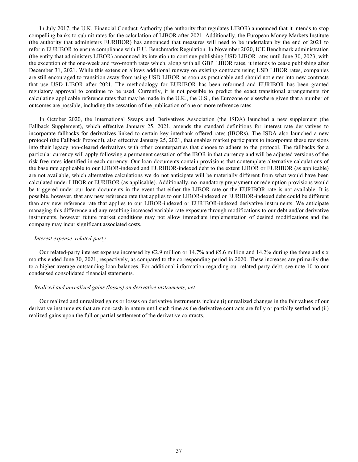In July 2017, the U.K. Financial Conduct Authority (the authority that regulates LIBOR) announced that it intends to stop compelling banks to submit rates for the calculation of LIBOR after 2021. Additionally, the European Money Markets Institute (the authority that administers EURIBOR) has announced that measures will need to be undertaken by the end of 2021 to reform EURIBOR to ensure compliance with E.U. Benchmarks Regulation. In November 2020, ICE Benchmark administration (the entity that administers LIBOR) announced its intention to continue publishing USD LIBOR rates until June 30, 2023, with the exception of the one-week and two-month rates which, along with all GBP LIBOR rates, it intends to cease publishing after December 31, 2021. While this extension allows additional runway on existing contracts using USD LIBOR rates, companies are still encouraged to transition away from using USD LIBOR as soon as practicable and should not enter into new contracts that use USD LIBOR after 2021. The methodology for EURIBOR has been reformed and EURIBOR has been granted regulatory approval to continue to be used. Currently, it is not possible to predict the exact transitional arrangements for calculating applicable reference rates that may be made in the U.K., the U.S., the Eurozone or elsewhere given that a number of outcomes are possible, including the cessation of the publication of one or more reference rates.

In October 2020, the International Swaps and Derivatives Association (the ISDA) launched a new supplement (the Fallback Supplement), which effective January 25, 2021, amends the standard definitions for interest rate derivatives to incorporate fallbacks for derivatives linked to certain key interbank offered rates (IBORs). The ISDA also launched a new protocol (the Fallback Protocol), also effective January 25, 2021, that enables market participants to incorporate these revisions into their legacy non-cleared derivatives with other counterparties that choose to adhere to the protocol. The fallbacks for a particular currency will apply following a permanent cessation of the IBOR in that currency and will be adjusted versions of the risk-free rates identified in each currency. Our loan documents contain provisions that contemplate alternative calculations of the base rate applicable to our LIBOR-indexed and EURIBOR-indexed debt to the extent LIBOR or EURIBOR (as applicable) are not available, which alternative calculations we do not anticipate will be materially different from what would have been calculated under LIBOR or EURIBOR (as applicable). Additionally, no mandatory prepayment or redemption provisions would be triggered under our loan documents in the event that either the LIBOR rate or the EURIBOR rate is not available. It is possible, however, that any new reference rate that applies to our LIBOR-indexed or EURIBOR-indexed debt could be different than any new reference rate that applies to our LIBOR-indexed or EURIBOR-indexed derivative instruments. We anticipate managing this difference and any resulting increased variable-rate exposure through modifications to our debt and/or derivative instruments, however future market conditions may not allow immediate implementation of desired modifications and the company may incur significant associated costs.

#### *Interest expense–related-party*

Our related-party interest expense increased by  $\epsilon$ 2.9 million or 14.7% and  $\epsilon$ 5.6 million and 14.2% during the three and six months ended June 30, 2021, respectively, as compared to the corresponding period in 2020. These increases are primarily due to a higher average outstanding loan balances. For additional information regarding our related-party debt, see note 10 to our condensed consolidated financial statements.

#### *Realized and unrealized gains (losses) on derivative instruments, net*

Our realized and unrealized gains or losses on derivative instruments include (i) unrealized changes in the fair values of our derivative instruments that are non-cash in nature until such time as the derivative contracts are fully or partially settled and (ii) realized gains upon the full or partial settlement of the derivative contracts.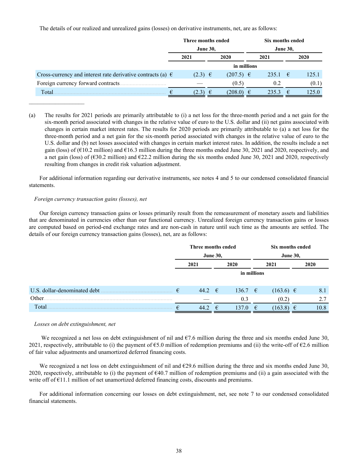The details of our realized and unrealized gains (losses) on derivative instruments, net, are as follows:

|                                                                      | Three months ended |                    |                 | Six months ended |            |       |  |  |
|----------------------------------------------------------------------|--------------------|--------------------|-----------------|------------------|------------|-------|--|--|
|                                                                      | <b>June 30,</b>    |                    | <b>June 30,</b> |                  |            |       |  |  |
|                                                                      | 2021               | 2020               | 2021            |                  |            | 2020  |  |  |
|                                                                      |                    | in millions        |                 |                  |            |       |  |  |
| Cross-currency and interest rate derivative contracts (a) $\epsilon$ | $(2.3) \in$        | $(207.5) \in$      |                 | 235.1            | $\epsilon$ | 125.1 |  |  |
| Foreign currency forward contracts.                                  |                    | (0.5)              |                 | 0.2              |            | (0.1) |  |  |
| Total.<br>€                                                          | (2.3)              | €<br>$(208.0) \in$ |                 | 235.3            | €          | 125.0 |  |  |

(a) The results for 2021 periods are primarily attributable to (i) a net loss for the three-month period and a net gain for the six-month period associated with changes in the relative value of euro to the U.S. dollar and (ii) net gains associated with changes in certain market interest rates. The results for 2020 periods are primarily attributable to (a) a net loss for the three-month period and a net gain for the six-month period associated with changes in the relative value of euro to the U.S. dollar and (b) net losses associated with changes in certain market interest rates. In addition, the results include a net gain (loss) of ( $E10.2$  million) and  $E16.3$  million during the three months ended June 30, 2021 and 2020, respectively, and a net gain (loss) of ( $630.2$  million) and  $622.2$  million during the six months ended June 30, 2021 and 2020, respectively resulting from changes in credit risk valuation adjustment.

For additional information regarding our derivative instruments, see notes 4 and 5 to our condensed consolidated financial statements.

# *Foreign currency transaction gains (losses), net*

Our foreign currency transaction gains or losses primarily result from the remeasurement of monetary assets and liabilities that are denominated in currencies other than our functional currency. Unrealized foreign currency transaction gains or losses are computed based on period-end exchange rates and are non-cash in nature until such time as the amounts are settled. The details of our foreign currency transaction gains (losses), net, are as follows:

|                              | Three months ended |              |   | Six months ended |             |                 |  |      |
|------------------------------|--------------------|--------------|---|------------------|-------------|-----------------|--|------|
|                              | <b>June 30,</b>    |              |   |                  |             | <b>June 30,</b> |  |      |
|                              |                    | 2021<br>2020 |   |                  | 2021        |                 |  | 2020 |
|                              |                    |              |   |                  | in millions |                 |  |      |
| U.S. dollar-denominated debt | €                  | 44.2 $\in$   |   | 136.7 $\epsilon$ |             | $(163.6) \in$   |  | 8.1  |
| Other.                       |                    |              |   | 0.3              |             | (0.2)           |  | 2.7  |
| Total                        |                    | 44.2         | € | 137              | €           | (163.8)         |  | 10.8 |

### *Losses on debt extinguishment, net*

We recognized a net loss on debt extinguishment of nil and  $\epsilon$ 7.6 million during the three and six months ended June 30, 2021, respectively, attributable to (i) the payment of  $\epsilon$ 5.0 million of redemption premiums and (ii) the write-off of  $\epsilon$ 2.6 million of fair value adjustments and unamortized deferred financing costs.

We recognized a net loss on debt extinguishment of nil and  $\epsilon$ 29.6 million during the three and six months ended June 30, 2020, respectively, attributable to (i) the payment of  $\epsilon 40.7$  million of redemption premiums and (ii) a gain associated with the write off of  $E11.1$  million of net unamortized deferred financing costs, discounts and premiums.

For additional information concerning our losses on debt extinguishment, net, see note 7 to our condensed consolidated financial statements.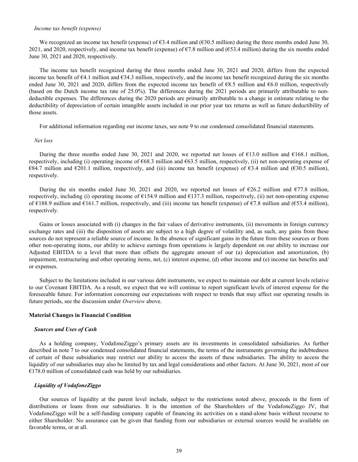#### *Income tax benefit (expense)*

We recognized an income tax benefit (expense) of €3.4 million and (€30.5 million) during the three months ended June 30, 2021, and 2020, respectively, and income tax benefit (expense) of  $\epsilon$ 7.8 million and ( $\epsilon$ 53.4 million) during the six months ended June 30, 2021 and 2020, respectively.

The income tax benefit recognized during the three months ended June 30, 2021 and 2020, differs from the expected income tax benefit of  $\epsilon$ 4.1 million and  $\epsilon$ 34.3 million, respectively, and the income tax benefit recognized during the six months ended June 30, 2021 and 2020, differs from the expected income tax benefit of  $68.5$  million and  $66.0$  million, respectively (based on the Dutch income tax rate of 25.0%). The differences during the 2021 periods are primarily attributable to nondeductible expenses. The differences during the 2020 periods are primarily attributable to a change in estimate relating to the deductibility of depreciation of certain intangible assets included in our prior year tax returns as well as future deductibility of those assets.

For additional information regarding our income taxes, see note 9 to our condensed consolidated financial statements.

#### *Net loss*

During the three months ended June 30, 2021 and 2020, we reported net losses of  $\epsilon$ 13.0 million and  $\epsilon$ 168.1 million, respectively, including (i) operating income of €68.3 million and €63.5 million, respectively, (ii) net non-operating expense of €84.7 million and €201.1 million, respectively, and (iii) income tax benefit (expense) of €3.4 million and (€30.5 million), respectively.

During the six months ended June 30, 2021 and 2020, we reported net losses of  $\epsilon$ 26.2 million and  $\epsilon$ 77.8 million, respectively, including (i) operating income of  $\epsilon$ 154.9 million and  $\epsilon$ 137.3 million, respectively, (ii) net non-operating expense of €188.9 million and €161.7 million, respectively, and (iii) income tax benefit (expense) of €7.8 million and (€53.4 million), respectively.

Gains or losses associated with (i) changes in the fair values of derivative instruments, (ii) movements in foreign currency exchange rates and (iii) the disposition of assets are subject to a high degree of volatility and, as such, any gains from these sources do not represent a reliable source of income. In the absence of significant gains in the future from these sources or from other non-operating items, our ability to achieve earnings from operations is largely dependent on our ability to increase our Adjusted EBITDA to a level that more than offsets the aggregate amount of our (a) depreciation and amortization, (b) impairment, restructuring and other operating items, net, (c) interest expense, (d) other income and (e) income tax benefits and/ or expenses.

Subject to the limitations included in our various debt instruments, we expect to maintain our debt at current levels relative to our Covenant EBITDA. As a result, we expect that we will continue to report significant levels of interest expense for the foreseeable future. For information concerning our expectations with respect to trends that may affect our operating results in future periods, see the discussion under *Overview* above.

#### **Material Changes in Financial Condition**

#### *Sources and Uses of Cash*

As a holding company, VodafoneZiggo's primary assets are its investments in consolidated subsidiaries. As further described in note 7 to our condensed consolidated financial statements, the terms of the instruments governing the indebtedness of certain of these subsidiaries may restrict our ability to access the assets of these subsidiaries. The ability to access the liquidity of our subsidiaries may also be limited by tax and legal considerations and other factors. At June 30, 2021, most of our €178.0 million of consolidated cash was held by our subsidiaries.

#### *Liquidity of VodafoneZiggo*

Our sources of liquidity at the parent level include, subject to the restrictions noted above, proceeds in the form of distributions or loans from our subsidiaries. It is the intention of the Shareholders of the VodafoneZiggo JV, that VodafoneZiggo will be a self-funding company capable of financing its activities on a stand-alone basis without recourse to either Shareholder. No assurance can be given that funding from our subsidiaries or external sources would be available on favorable terms, or at all.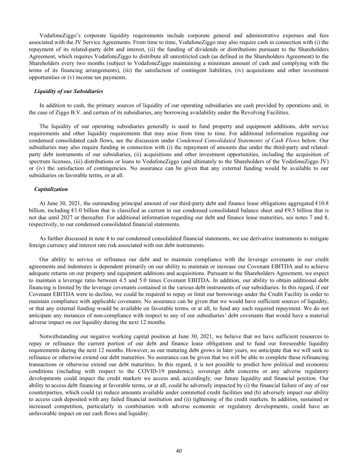VodafoneZiggo's corporate liquidity requirements include corporate general and administrative expenses and fees associated with the JV Service Agreements. From time to time, VodafoneZiggo may also require cash in connection with (i) the repayment of its related-party debt and interest, (ii) the funding of dividends or distributions pursuant to the Shareholders Agreement, which requires VodafoneZiggo to distribute all unrestricted cash (as defined in the Shareholders Agreement) to the Shareholders every two months (subject to VodafoneZiggo maintaining a minimum amount of cash and complying with the terms of its financing arrangements), (iii) the satisfaction of contingent liabilities, (iv) acquisitions and other investment opportunities or (v) income tax payments.

#### *Liquidity of our Subsidiaries*

In addition to cash, the primary sources of liquidity of our operating subsidiaries are cash provided by operations and, in the case of Ziggo B.V. and certain of its subsidiaries, any borrowing availability under the Revolving Facilities.

The liquidity of our operating subsidiaries generally is used to fund property and equipment additions, debt service requirements and other liquidity requirements that may arise from time to time. For additional information regarding our condensed consolidated cash flows, see the discussion under *Condensed Consolidated Statements of Cash Flows* below. Our subsidiaries may also require funding in connection with (i) the repayment of amounts due under the third-party and relatedparty debt instruments of our subsidiaries, (ii) acquisitions and other investment opportunities, including the acquisition of spectrum licenses, (iii) distributions or loans to VodafoneZiggo (and ultimately to the Shareholders of the VodafoneZiggo JV) or (iv) the satisfaction of contingencies. No assurance can be given that any external funding would be available to our subsidiaries on favorable terms, or at all.

#### *Capitalization*

At June 30, 2021, the outstanding principal amount of our third-party debt and finance lease obligations aggregated  $\epsilon$ 10.8 billion, including  $\epsilon$ 1.0 billion that is classified as current in our condensed consolidated balance sheet and  $\epsilon$ 9.5 billion that is not due until 2027 or thereafter*.* For additional information regarding our debt and finance lease maturities, see notes 7 and 8, respectively, to our condensed consolidated financial statements.

As further discussed in note 4 to our condensed consolidated financial statements, we use derivative instruments to mitigate foreign currency and interest rate risk associated with our debt instruments.

Our ability to service or refinance our debt and to maintain compliance with the leverage covenants in our credit agreements and indentures is dependent primarily on our ability to maintain or increase our Covenant EBITDA and to achieve adequate returns on our property and equipment additions and acquisitions. Pursuant to the Shareholders Agreement, we expect to maintain a leverage ratio between 4.5 and 5.0 times Covenant EBITDA. In addition, our ability to obtain additional debt financing is limited by the leverage covenants contained in the various debt instruments of our subsidiaries. In this regard, if our Covenant EBITDA were to decline, we could be required to repay or limit our borrowings under the Credit Facility in order to maintain compliance with applicable covenants. No assurance can be given that we would have sufficient sources of liquidity, or that any external funding would be available on favorable terms, or at all, to fund any such required repayment. We do not anticipate any instances of non-compliance with respect to any of our subsidiaries' debt covenants that would have a material adverse impact on our liquidity during the next 12 months.

Notwithstanding our negative working capital position at June 30, 2021, we believe that we have sufficient resources to repay or refinance the current portion of our debt and finance lease obligations and to fund our foreseeable liquidity requirements during the next 12 months. However, as our maturing debt grows in later years, we anticipate that we will seek to refinance or otherwise extend our debt maturities. No assurance can be given that we will be able to complete these refinancing transactions or otherwise extend our debt maturities. In this regard, it is not possible to predict how political and economic conditions (including with respect to the COVID-19 pandemic), sovereign debt concerns or any adverse regulatory developments could impact the credit markets we access and, accordingly, our future liquidity and financial position. Our ability to access debt financing at favorable terms, or at all, could be adversely impacted by (i) the financial failure of any of our counterparties, which could (a) reduce amounts available under committed credit facilities and (b) adversely impact our ability to access cash deposited with any failed financial institution and (ii) tightening of the credit markets. In addition, sustained or increased competition, particularly in combination with adverse economic or regulatory developments, could have an unfavorable impact on our cash flows and liquidity.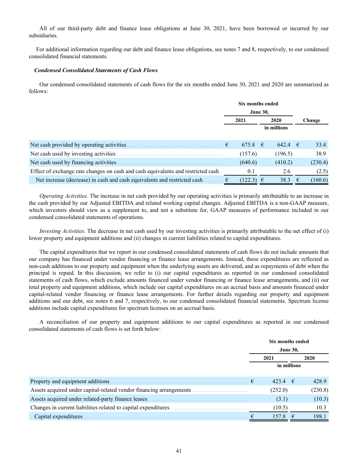All of our third-party debt and finance lease obligations at June 30, 2021, have been borrowed or incurred by our subsidiaries.

 For additional information regarding our debt and finance lease obligations, see notes 7 and 8, respectively, to our condensed consolidated financial statements.

#### *Condensed Consolidated Statements of Cash Flows*

Our condensed consolidated statements of cash flows for the six months ended June 30, 2021 and 2020 are summarized as follows:

|                                                                                   | Six months ended |                             |  |           |   |         |  |
|-----------------------------------------------------------------------------------|------------------|-----------------------------|--|-----------|---|---------|--|
|                                                                                   |                  | <b>June 30,</b>             |  |           |   |         |  |
|                                                                                   |                  | 2020<br>2021<br>in millions |  |           |   | Change  |  |
|                                                                                   |                  |                             |  |           |   |         |  |
|                                                                                   |                  |                             |  |           |   |         |  |
| Net cash provided by operating activities                                         | €                | $675.8$ €                   |  | $642.4$ € |   | 33.4    |  |
| Net cash used by investing activities                                             |                  | (157.6)                     |  | (196.5)   |   | 38.9    |  |
| Net cash used by financing activities.                                            |                  | (640.6)                     |  | (410.2)   |   | (230.4) |  |
| Effect of exchange rate changes on cash and cash equivalents and restricted cash. |                  | 0.1                         |  | 2.6       |   | (2.5)   |  |
| Net increase (decrease) in cash and cash equivalents and restricted cash.         |                  | $(122.3) \in$               |  | 38.3      | € | (160.6) |  |

*Operating Activities.* The increase in net cash provided by our operating activities is primarily attributable to an increase in the cash provided by our Adjusted EBITDA and related working capital changes. Adjusted EBITDA is a non-GAAP measure, which investors should view as a supplement to, and not a substitute for, GAAP measures of performance included in our condensed consolidated statements of operations.

*Investing Activities.* The decrease in net cash used by our investing activities is primarily attributable to the net effect of (i) lower property and equipment additions and (ii) changes in current liabilities related to capital expenditures.

The capital expenditures that we report in our condensed consolidated statements of cash flows do not include amounts that our company has financed under vendor financing or finance lease arrangements. Instead, these expenditures are reflected as non-cash additions to our property and equipment when the underlying assets are delivered, and as repayments of debt when the principal is repaid. In this discussion, we refer to (i) our capital expenditures as reported in our condensed consolidated statements of cash flows, which exclude amounts financed under vendor financing or finance lease arrangements, and (ii) our total property and equipment additions, which include our capital expenditures on an accrual basis and amounts financed under capital-related vendor financing or finance lease arrangements. For further details regarding our property and equipment additions and our debt, see notes 6 and 7, respectively, to our condensed consolidated financial statements. Spectrum license additions include capital expenditures for spectrum licenses on an accrual basis.

A reconciliation of our property and equipment additions to our capital expenditures as reported in our condensed consolidated statements of cash flows is set forth below:

|                                                                      |   | Six months ended |      |         |  |  |
|----------------------------------------------------------------------|---|------------------|------|---------|--|--|
|                                                                      |   | <b>June 30,</b>  |      |         |  |  |
|                                                                      |   | 2021             | 2020 |         |  |  |
|                                                                      |   | in millions      |      |         |  |  |
|                                                                      |   |                  |      |         |  |  |
| Property and equipment additions.                                    | € | 423.4 $\epsilon$ |      | 428.9   |  |  |
| Assets acquired under capital-related vendor financing arrangements. |   | (252.0)          |      | (230.8) |  |  |
| Assets acquired under related-party finance leases.                  |   | (3.1)            |      | (10.3)  |  |  |
| Changes in current liabilities related to capital expenditures.      |   | (10.5)           |      | 10.3    |  |  |
| Capital expenditures.                                                |   | 157.8            | €    | 198.1   |  |  |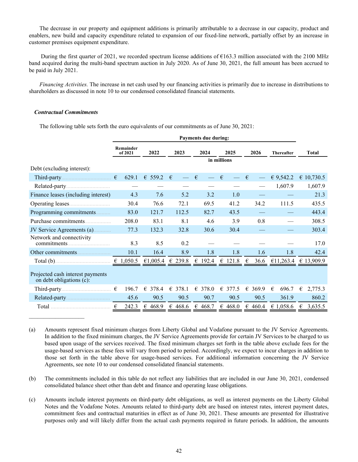The decrease in our property and equipment additions is primarily attributable to a decrease in our capacity, product and enablers, new build and capacity expenditure related to expansion of our fixed-line network, partially offset by an increase in customer premises equipment expenditure.

During the first quarter of 2021, we recorded spectrum license additions of  $\epsilon$ 163.3 million associated with the 2100 MHz band acquired during the multi-band spectrum auction in July 2020. As of June 30, 2021, the full amount has been accrued to be paid in July 2021.

*Financing Activities.* The increase in net cash used by our financing activities is primarily due to increase in distributions to shareholders as discussed in note 10 to our condensed consolidated financial statements.

#### *Contractual Commitments*

The following table sets forth the euro equivalents of our commitments as of June 30, 2021:

|                                                              | <b>Payments due during:</b> |          |                  |            |                  |                  |                   |                      |  |  |  |  |  |
|--------------------------------------------------------------|-----------------------------|----------|------------------|------------|------------------|------------------|-------------------|----------------------|--|--|--|--|--|
|                                                              | Remainder<br>of 2021        | 2022     | 2023             | 2024       |                  | 2026             | <b>Thereafter</b> | <b>Total</b>         |  |  |  |  |  |
|                                                              |                             |          |                  |            | in millions      |                  |                   |                      |  |  |  |  |  |
| Debt (excluding interest):                                   |                             |          |                  |            |                  |                  |                   |                      |  |  |  |  |  |
|                                                              | 629.1                       | € 559.2  | €                | $\epsilon$ | $\epsilon$       | €                | & 9,542.2         | € 10,730.5           |  |  |  |  |  |
|                                                              |                             |          |                  |            |                  |                  | 1,607.9           | 1,607.9              |  |  |  |  |  |
| Finance leases (including interest)                          | 4.3                         | 7.6      | 5.2              | 3.2        | 1.0              |                  |                   | 21.3                 |  |  |  |  |  |
|                                                              | 30.4                        | 76.6     | 72.1             | 69.5       | 41.2             | 34.2             | 111.5             | 435.5                |  |  |  |  |  |
| Programming commitments                                      | 83.0                        | 121.7    | 112.5            | 82.7       | 43.5             |                  |                   | 443.4                |  |  |  |  |  |
| Purchase commitments                                         | 208.0                       | 83.1     | 8.1              | 4.6        | 3.9              | 0.8              |                   | 308.5                |  |  |  |  |  |
| JV Service Agreements (a)                                    | 77.3                        | 132.3    | 32.8             | 30.6       | 30.4             |                  |                   | 303.4                |  |  |  |  |  |
| Network and connectivity<br>commitments.                     | 8.3                         | 8.5      | 0.2              |            |                  |                  |                   | 17.0                 |  |  |  |  |  |
|                                                              | 10.1                        | 16.4     | 8.9              | 1.8        | 1.8              | 1.6              | 1.8               | 42.4                 |  |  |  |  |  |
|                                                              |                             | €1,005.4 | € 239.8          | £ 192.4    | $\epsilon$ 121.8 | €<br>36.6        |                   | €11,263.4 € 13,909.9 |  |  |  |  |  |
| Projected cash interest payments<br>on debt obligations (c): |                             |          |                  |            |                  |                  |                   |                      |  |  |  |  |  |
|                                                              | 196.7                       | € 378.4  | $\epsilon$ 378.1 | € 378.0    | €<br>377.5       | 369.9<br>€       | €<br>696.7        | €<br>2,775.3         |  |  |  |  |  |
|                                                              | 45.6                        | 90.5     | 90.5             | 90.7       | 90.5             | 90.5             | 361.9             | 860.2                |  |  |  |  |  |
|                                                              | 242.3<br>€                  | € 468.9  | € 468.6          | € 468.7    | € 468.0          | $\epsilon$ 460.4 | € 1,058.6         | € 3,635.5            |  |  |  |  |  |

(a) Amounts represent fixed minimum charges from Liberty Global and Vodafone pursuant to the JV Service Agreements. In addition to the fixed minimum charges, the JV Service Agreements provide for certain JV Services to be charged to us based upon usage of the services received. The fixed minimum charges set forth in the table above exclude fees for the usage-based services as these fees will vary from period to period. Accordingly, we expect to incur charges in addition to those set forth in the table above for usage-based services. For additional information concerning the JV Service Agreements, see note 10 to our condensed consolidated financial statements.

- (b) The commitments included in this table do not reflect any liabilities that are included in our June 30, 2021, condensed consolidated balance sheet other than debt and finance and operating lease obligations.
- (c) Amounts include interest payments on third-party debt obligations, as well as interest payments on the Liberty Global Notes and the Vodafone Notes. Amounts related to third-party debt are based on interest rates, interest payment dates, commitment fees and contractual maturities in effect as of June 30, 2021. These amounts are presented for illustrative purposes only and will likely differ from the actual cash payments required in future periods. In addition, the amounts